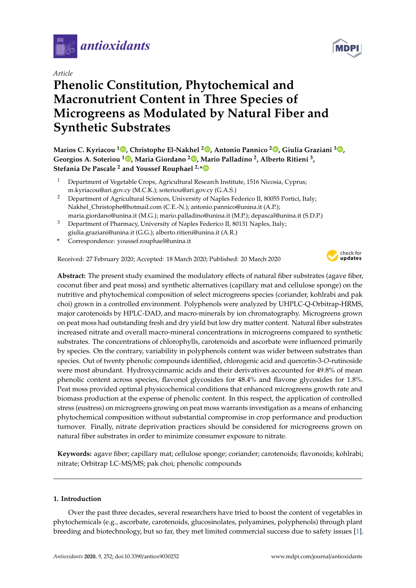

*Article*

# **Phenolic Constitution, Phytochemical and Macronutrient Content in Three Species of Microgreens as Modulated by Natural Fiber and Synthetic Substrates**

**Marios C. Kyriacou <sup>1</sup> [,](https://orcid.org/0000-0002-8753-9521) Christophe El-Nakhel <sup>2</sup> [,](https://orcid.org/0000-0002-1200-2834) Antonio Pannico <sup>2</sup> [,](https://orcid.org/0000-0002-2999-1536) Giulia Graziani <sup>3</sup> [,](https://orcid.org/0000-0003-3070-5389) Georgios A. Soteriou <sup>1</sup> [,](https://orcid.org/0000-0002-3601-1129) Maria Giordano <sup>2</sup> [,](https://orcid.org/0000-0001-5463-3768) Mario Palladino <sup>2</sup> , Alberto Ritieni <sup>3</sup> , Stefania De Pascale <sup>2</sup> and Youssef Rouphael 2,[\\*](https://orcid.org/0000-0002-1002-8651)**

- <sup>1</sup> Department of Vegetable Crops, Agricultural Research Institute, 1516 Nicosia, Cyprus; m.kyriacou@ari.gov.cy (M.C.K.); soteriou@ari.gov.cy (G.A.S.)
- <sup>2</sup> Department of Agricultural Sciences, University of Naples Federico II, 80055 Portici, Italy; Nakhel\_Christophe@hotmail.com (C.E.-N.); antonio.pannico@unina.it (A.P.); maria.giordano@unina.it (M.G.); mario.palladino@unina.it (M.P.); depascal@unina.it (S.D.P.)
- <sup>3</sup> Department of Pharmacy, University of Naples Federico II, 80131 Naples, Italy; giulia.graziani@unina.it (G.G.); alberto.ritieni@unina.it (A.R.)
- **\*** Correspondence: youssef.rouphael@unina.it

Received: 27 February 2020; Accepted: 18 March 2020; Published: 20 March 2020



**Abstract:** The present study examined the modulatory effects of natural fiber substrates (agave fiber, coconut fiber and peat moss) and synthetic alternatives (capillary mat and cellulose sponge) on the nutritive and phytochemical composition of select microgreens species (coriander, kohlrabi and pak choi) grown in a controlled environment. Polyphenols were analyzed by UHPLC-Q-Orbitrap-HRMS, major carotenoids by HPLC-DAD, and macro-minerals by ion chromatography. Microgreens grown on peat moss had outstanding fresh and dry yield but low dry matter content. Natural fiber substrates increased nitrate and overall macro-mineral concentrations in microgreens compared to synthetic substrates. The concentrations of chlorophylls, carotenoids and ascorbate were influenced primarily by species. On the contrary, variability in polyphenols content was wider between substrates than species. Out of twenty phenolic compounds identified, chlorogenic acid and quercetin-3-*O*-rutinoside were most abundant. Hydroxycinnamic acids and their derivatives accounted for 49.8% of mean phenolic content across species, flavonol glycosides for 48.4% and flavone glycosides for 1.8%. Peat moss provided optimal physicochemical conditions that enhanced microgreens growth rate and biomass production at the expense of phenolic content. In this respect, the application of controlled stress (eustress) on microgreens growing on peat moss warrants investigation as a means of enhancing phytochemical composition without substantial compromise in crop performance and production turnover. Finally, nitrate deprivation practices should be considered for microgreens grown on natural fiber substrates in order to minimize consumer exposure to nitrate.

**Keywords:** agave fiber; capillary mat; cellulose sponge; coriander; carotenoids; flavonoids; kohlrabi; nitrate; Orbitrap LC-MS/MS; pak choi; phenolic compounds

# **1. Introduction**

Over the past three decades, several researchers have tried to boost the content of vegetables in phytochemicals (e.g., ascorbate, carotenoids, glucosinolates, polyamines, polyphenols) through plant breeding and biotechnology, but so far, they met limited commercial success due to safety issues [\[1\]](#page-19-0).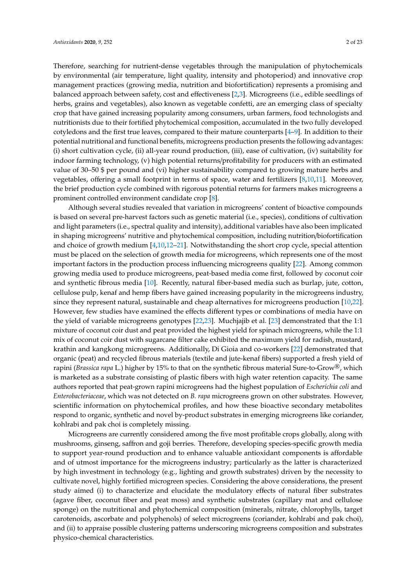Therefore, searching for nutrient-dense vegetables through the manipulation of phytochemicals by environmental (air temperature, light quality, intensity and photoperiod) and innovative crop management practices (growing media, nutrition and biofortification) represents a promising and balanced approach between safety, cost and effectiveness [\[2,](#page-19-1)[3\]](#page-19-2). Microgreens (i.e., edible seedlings of herbs, grains and vegetables), also known as vegetable confetti, are an emerging class of specialty crop that have gained increasing popularity among consumers, urban farmers, food technologists and nutritionists due to their fortified phytochemical composition, accumulated in the two fully developed cotyledons and the first true leaves, compared to their mature counterparts [\[4](#page-19-3)[–9\]](#page-19-4). In addition to their potential nutritional and functional benefits, microgreens production presents the following advantages: (i) short cultivation cycle, (ii) all-year round production, (iii), ease of cultivation, (iv) suitability for indoor farming technology, (v) high potential returns/profitability for producers with an estimated value of 30–50 \$ per pound and (vi) higher sustainability compared to growing mature herbs and vegetables, offering a small footprint in terms of space, water and fertilizers [\[8](#page-19-5)[,10](#page-19-6)[,11\]](#page-19-7). Moreover, the brief production cycle combined with rigorous potential returns for farmers makes microgreens a prominent controlled environment candidate crop [\[8\]](#page-19-5).

Although several studies revealed that variation in microgreens' content of bioactive compounds is based on several pre-harvest factors such as genetic material (i.e., species), conditions of cultivation and light parameters (i.e., spectral quality and intensity), additional variables have also been implicated in shaping microgreens' nutritive and phytochemical composition, including nutrition/biofortification and choice of growth medium [\[4,](#page-19-3)[10,](#page-19-6)[12](#page-20-0)[–21\]](#page-20-1). Notwithstanding the short crop cycle, special attention must be placed on the selection of growth media for microgreens, which represents one of the most important factors in the production process influencing microgreens quality [\[22\]](#page-20-2). Among common growing media used to produce microgreens, peat-based media come first, followed by coconut coir and synthetic fibrous media [\[10\]](#page-19-6). Recently, natural fiber-based media such as burlap, jute, cotton, cellulose pulp, kenaf and hemp fibers have gained increasing popularity in the microgreens industry, since they represent natural, sustainable and cheap alternatives for microgreens production [\[10,](#page-19-6)[22\]](#page-20-2). However, few studies have examined the effects different types or combinations of media have on the yield of variable microgreens genotypes [\[22,](#page-20-2)[23\]](#page-20-3). Muchjajib et al. [\[23\]](#page-20-3) demonstrated that the 1:1 mixture of coconut coir dust and peat provided the highest yield for spinach microgreens, while the 1:1 mix of coconut coir dust with sugarcane filter cake exhibited the maximum yield for radish, mustard, krathin and kangkong microgreens. Additionally, Di Gioia and co-workers [\[22\]](#page-20-2) demonstrated that organic (peat) and recycled fibrous materials (textile and jute-kenaf fibers) supported a fresh yield of rapini (*Brassica rapa* L.) higher by 15% to that on the synthetic fibrous material Sure-to-Grow®, which is marketed as a substrate consisting of plastic fibers with high water retention capacity. The same authors reported that peat-grown rapini microgreens had the highest population of *Escherichia coli* and *Enterobacteriaceae*, which was not detected on *B. rapa* microgreens grown on other substrates. However, scientific information on phytochemical profiles, and how these bioactive secondary metabolites respond to organic, synthetic and novel by-product substrates in emerging microgreens like coriander, kohlrabi and pak choi is completely missing.

Microgreens are currently considered among the five most profitable crops globally, along with mushrooms, ginseng, saffron and goji berries. Therefore, developing species-specific growth media to support year-round production and to enhance valuable antioxidant components is affordable and of utmost importance for the microgreens industry; particularly as the latter is characterized by high investment in technology (e.g., lighting and growth substrates) driven by the necessity to cultivate novel, highly fortified microgreen species. Considering the above considerations, the present study aimed (i) to characterize and elucidate the modulatory effects of natural fiber substrates (agave fiber, coconut fiber and peat moss) and synthetic substrates (capillary mat and cellulose sponge) on the nutritional and phytochemical composition (minerals, nitrate, chlorophylls, target carotenoids, ascorbate and polyphenols) of select microgreens (coriander, kohlrabi and pak choi), and (ii) to appraise possible clustering patterns underscoring microgreens composition and substrates physico-chemical characteristics.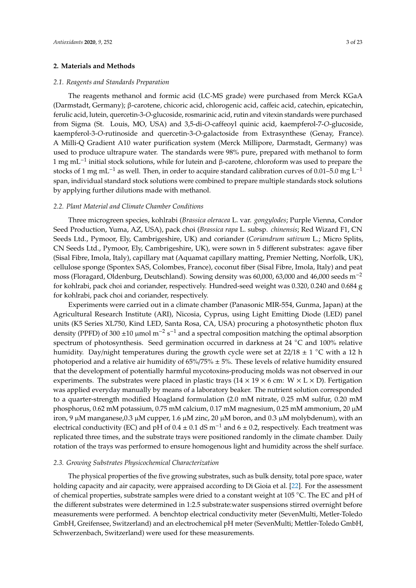#### **2. Materials and Methods**

### *2.1. Reagents and Standards Preparation*

The reagents methanol and formic acid (LC-MS grade) were purchased from Merck KGaA (Darmstadt, Germany); β-carotene, chicoric acid, chlorogenic acid, caffeic acid, catechin, epicatechin, ferulic acid, lutein, quercetin-3-*O*-glucoside, rosmarinic acid, rutin and vitexin standards were purchased from Sigma (St. Louis, MO, USA) and 3,5-di-*O*-caffeoyl quinic acid, kaempferol-7-*O*-glucoside, kaempferol-3-*O*-rutinoside and quercetin-3-*O*-galactoside from Extrasynthese (Genay, France). A Milli-Q Gradient A10 water purification system (Merck Millipore, Darmstadt, Germany) was used to produce ultrapure water. The standards were 98% pure, prepared with methanol to form 1 mg mL−<sup>1</sup> initial stock solutions, while for lutein and β-carotene, chloroform was used to prepare the stocks of 1 mg mL<sup>-1</sup> as well. Then, in order to acquire standard calibration curves of 0.01–5.0 mg L<sup>-1</sup> span, individual standard stock solutions were combined to prepare multiple standards stock solutions by applying further dilutions made with methanol.

### *2.2. Plant Material and Climate Chamber Conditions*

Three microgreen species, kohlrabi (*Brassica oleracea* L. var. *gongylodes*; Purple Vienna, Condor Seed Production, Yuma, AZ, USA), pack choi (*Brassica rapa* L. subsp. *chinensis*; Red Wizard F1, CN Seeds Ltd., Pymoor, Ely, Cambrigeshire, UK) and coriander (*Coriandrum sativum* L.; Micro Splits, CN Seeds Ltd., Pymoor, Ely, Cambrigeshire, UK), were sown in 5 different substrates: agave fiber (Sisal Fibre, Imola, Italy), capillary mat (Aquamat capillary matting, Premier Netting, Norfolk, UK), cellulose sponge (Spontex SAS, Colombes, France), coconut fiber (Sisal Fibre, Imola, Italy) and peat moss (Floragard, Oldenburg, Deutschland). Sowing density was 60,000, 63,000 and 46,000 seeds m−<sup>2</sup> for kohlrabi, pack choi and coriander, respectively. Hundred-seed weight was 0.320, 0.240 and 0.684 g for kohlrabi, pack choi and coriander, respectively.

Experiments were carried out in a climate chamber (Panasonic MIR-554, Gunma, Japan) at the Agricultural Research Institute (ARI), Nicosia, Cyprus, using Light Emitting Diode (LED) panel units (K5 Series XL750, Kind LED, Santa Rosa, CA, USA) procuring a photosynthetic photon flux density (PPFD) of 300  $\pm$ 10 µmol m<sup>-2</sup> s<sup>-1</sup> and a spectral composition matching the optimal absorption spectrum of photosynthesis. Seed germination occurred in darkness at 24 ℃ and 100% relative humidity. Day/night temperatures during the growth cycle were set at  $22/18 \pm 1$  °C with a 12 h photoperiod and a relative air humidity of  $65\%/75\% \pm 5\%$ . These levels of relative humidity ensured that the development of potentially harmful mycotoxins-producing molds was not observed in our experiments. The substrates were placed in plastic trays ( $14 \times 19 \times 6$  cm: W  $\times$  L  $\times$  D). Fertigation was applied everyday manually by means of a laboratory beaker. The nutrient solution corresponded to a quarter-strength modified Hoagland formulation (2.0 mM nitrate, 0.25 mM sulfur, 0.20 mM phosphorus, 0.62 mM potassium, 0.75 mM calcium, 0.17 mM magnesium, 0.25 mM ammonium, 20 µM iron, 9  $\mu$ M manganese,0.3  $\mu$ M cupper, 1.6  $\mu$ M zinc, 20  $\mu$ M boron, and 0.3  $\mu$ M molybdenum), with an electrical conductivity (EC) and pH of  $0.4 \pm 0.1$  dS m<sup>-1</sup> and  $6 \pm 0.2$ , respectively. Each treatment was replicated three times, and the substrate trays were positioned randomly in the climate chamber. Daily rotation of the trays was performed to ensure homogenous light and humidity across the shelf surface.

### *2.3. Growing Substrates Physicochemical Characterization*

The physical properties of the five growing substrates, such as bulk density, total pore space, water holding capacity and air capacity, were appraised according to Di Gioia et al. [\[22\]](#page-20-2). For the assessment of chemical properties, substrate samples were dried to a constant weight at 105 ◦C. The EC and pH of the different substrates were determined in 1:2.5 substrate:water suspensions stirred overnight before measurements were performed. A benchtop electrical conductivity meter (SevenMulti, Metler-Toledo GmbH, Greifensee, Switzerland) and an electrochemical pH meter (SevenMulti; Mettler-Toledo GmbH, Schwerzenbach, Switzerland) were used for these measurements.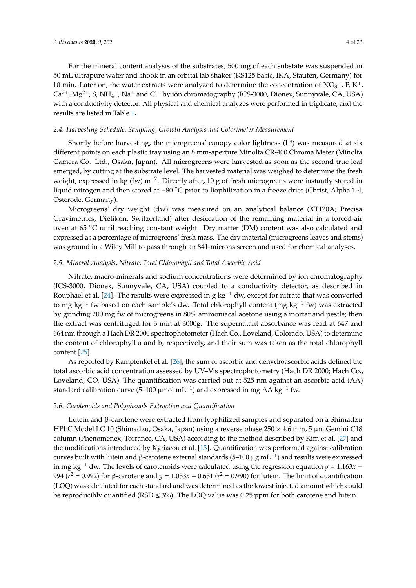For the mineral content analysis of the substrates, 500 mg of each substate was suspended in 50 mL ultrapure water and shook in an orbital lab shaker (KS125 basic, IKA, Staufen, Germany) for 10 min. Later on, the water extracts were analyzed to determine the concentration of  $NO<sub>3</sub><sup>-</sup>$ , P, K<sup>+</sup>, Ca<sup>2+</sup>, Mg<sup>2+</sup>, S, NH<sub>4</sub><sup>+</sup>, Na<sup>+</sup> and Cl<sup>−</sup> by ion chromatography (ICS-3000, Dionex, Sunnyvale, CA, USA) with a conductivity detector. All physical and chemical analyzes were performed in triplicate, and the results are listed in Table [1.](#page-4-0)

#### *2.4. Harvesting Schedule, Sampling, Growth Analysis and Colorimeter Measurement*

Shortly before harvesting, the microgreens' canopy color lightness  $(L^*)$  was measured at six different points on each plastic tray using an 8 mm-aperture Minolta CR-400 Chroma Meter (Minolta Camera Co. Ltd., Osaka, Japan). All microgreens were harvested as soon as the second true leaf emerged, by cutting at the substrate level. The harvested material was weighed to determine the fresh weight, expressed in kg (fw) m<sup>-2</sup>. Directly after, 10 g of fresh microgreens were instantly stored in liquid nitrogen and then stored at −80 ◦C prior to liophilization in a freeze drier (Christ, Alpha 1-4, Osterode, Germany).

Microgreens' dry weight (dw) was measured on an analytical balance (XT120A; Precisa Gravimetrics, Dietikon, Switzerland) after desiccation of the remaining material in a forced-air oven at 65 ◦C until reaching constant weight. Dry matter (DM) content was also calculated and expressed as a percentage of microgreens' fresh mass. The dry material (microgreens leaves and stems) was ground in a Wiley Mill to pass through an 841-microns screen and used for chemical analyses.

### *2.5. Mineral Analysis, Nitrate, Total Chlorophyll and Total Ascorbic Acid*

Nitrate, macro-minerals and sodium concentrations were determined by ion chromatography (ICS-3000, Dionex, Sunnyvale, CA, USA) coupled to a conductivity detector, as described in Rouphael et al. [\[24\]](#page-20-4). The results were expressed in g kg<sup>-1</sup> dw, except for nitrate that was converted to mg kg−<sup>1</sup> fw based on each sample's dw. Total chlorophyll content (mg kg−<sup>1</sup> fw) was extracted by grinding 200 mg fw of microgreens in 80% ammoniacal acetone using a mortar and pestle; then the extract was centrifuged for 3 min at 3000g. The supernatant absorbance was read at 647 and 664 nm through a Hach DR 2000 spectrophotometer (Hach Co., Loveland, Colorado, USA) to determine the content of chlorophyll a and b, respectively, and their sum was taken as the total chlorophyll content [\[25\]](#page-20-5).

As reported by Kampfenkel et al. [\[26\]](#page-20-6), the sum of ascorbic and dehydroascorbic acids defined the total ascorbic acid concentration assessed by UV–Vis spectrophotometry (Hach DR 2000; Hach Co., Loveland, CO, USA). The quantification was carried out at 525 nm against an ascorbic acid (AA) standard calibration curve (5–100 µmol mL<sup>-1</sup>) and expressed in mg AA kg<sup>-1</sup> fw.

### *2.6. Carotenoids and Polyphenols Extraction and Quantification*

Lutein and β-carotene were extracted from lyophilized samples and separated on a Shimadzu HPLC Model LC 10 (Shimadzu, Osaka, Japan) using a reverse phase 250 × 4.6 mm, 5 µm Gemini C18 column (Phenomenex, Torrance, CA, USA) according to the method described by Kim et al. [\[27\]](#page-20-7) and the modifications introduced by Kyriacou et al. [\[13\]](#page-20-8). Quantification was performed against calibration curves built with lutein and β-carotene external standards (5–100 μg mL<sup>-1</sup>) and results were expressed in mg kg−<sup>1</sup> dw. The levels of carotenoids were calculated using the regression equation *y* = 1.163*x* − 994 ( $r^2$  = 0.992) for β-carotene and  $y = 1.053x - 0.651$  ( $r^2$  = 0.990) for lutein. The limit of quantification (LOQ) was calculated for each standard and was determined as the lowest injected amount which could be reproducibly quantified (RSD  $\leq$  3%). The LOQ value was 0.25 ppm for both carotene and lutein.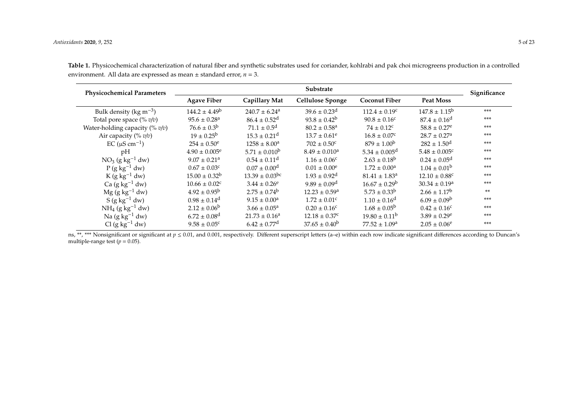| <b>Physicochemical Parameters</b>               | Substrate                     |                                |                              |                               |                               |              |  |  |  |  |  |  |
|-------------------------------------------------|-------------------------------|--------------------------------|------------------------------|-------------------------------|-------------------------------|--------------|--|--|--|--|--|--|
|                                                 | <b>Agave Fiber</b>            | Capillary Mat                  | <b>Cellulose Sponge</b>      | <b>Coconut Fiber</b>          | Peat Moss                     | Significance |  |  |  |  |  |  |
| Bulk density (kg m <sup><math>-3</math></sup> ) | $144.2 \pm 4.49^b$            | $240.7 \pm 6.24$ <sup>a</sup>  | $39.6 \pm 0.23^d$            | $112.4 \pm 0.19^c$            | $147.8 \pm 1.15^b$            | ***          |  |  |  |  |  |  |
| Total pore space $(\% v/v)$                     | $95.6 \pm 0.28$ <sup>a</sup>  | $86.4 \pm 0.52$ <sup>d</sup>   | $93.8 \pm 0.42^b$            | $90.8 \pm 0.16^c$             | $87.4 \pm 0.16$ <sup>d</sup>  | ***          |  |  |  |  |  |  |
| Water-holding capacity (% $v/v$ )               | $76.6 \pm 0.3^b$              | $71.1 \pm 0.5^{\rm d}$         | $80.2 \pm 0.58$ <sup>a</sup> | $74 \pm 0.12$ <sup>c</sup>    | $58.8 \pm 0.27$ <sup>e</sup>  | ***          |  |  |  |  |  |  |
| Air capacity (% $v/v$ )                         | $19 \pm 0.25^{\rm b}$         | $15.3 \pm 0.21$ <sup>d</sup>   | $13.7 \pm 0.61^e$            | $16.8 \pm 0.07^c$             | $28.7 \pm 0.27$ <sup>a</sup>  | ***          |  |  |  |  |  |  |
| EC ( $\mu$ S cm <sup>-1</sup> )                 | $254 \pm 0.50^e$              | $1258 \pm 8.00^a$              | $702 \pm 0.50^{\circ}$       | $879 \pm 1.00^{\rm b}$        | $282 \pm 1.50^{\rm d}$        | ***          |  |  |  |  |  |  |
| pH                                              | $4.90 \pm 0.005^e$            | $5.71 \pm 0.010^b$             | $8.49 \pm 0.010^a$           | $5.34 \pm 0.005^{\rm d}$      | $5.48 \pm 0.005$ <sup>c</sup> | ***          |  |  |  |  |  |  |
| $NO_3$ (g kg <sup>-1</sup> dw)                  | $9.07 \pm 0.21$ <sup>a</sup>  | $0.54 \pm 0.11$ <sup>d</sup>   | $1.16 \pm 0.06^c$            | $2.63 \pm 0.18^{\circ}$       | $0.24 \pm 0.05^{\rm d}$       | ***          |  |  |  |  |  |  |
| $P(g kg^{-1} dw)$                               | $0.67 \pm 0.03^c$             | $0.07 \pm 0.00$ <sup>d</sup>   | $0.01 \pm 0.00^e$            | $1.72 \pm 0.00^a$             | $1.04 \pm 0.01^{\rm b}$       | ***          |  |  |  |  |  |  |
| $K(g kg^{-1} dw)$                               | $15.00 \pm 0.32^b$            | $13.39 \pm 0.03$ <sup>bc</sup> | $1.93 \pm 0.92^d$            | $81.41 \pm 1.83$ <sup>a</sup> | $12.10 \pm 0.88$ <sup>c</sup> | ***          |  |  |  |  |  |  |
| Ca $(g \, kg^{-1} \, dw)$                       | $10.66 \pm 0.02$ <sup>c</sup> | $3.44 \pm 0.26^e$              | $9.89 \pm 0.09$ <sup>d</sup> | $16.67 \pm 0.29^b$            | $30.34 \pm 0.19^a$            | ***          |  |  |  |  |  |  |
| $Mg (g kg-1 dw)$                                | $4.92 \pm 0.95^{\rm b}$       | $2.75 \pm 0.74^{\rm b}$        | $12.23 \pm 0.59^{\text{a}}$  | $5.73 \pm 0.33^b$             | $2.66 \pm 1.17^b$             | $***$        |  |  |  |  |  |  |
| $S(g \, kg^{-1} \, dw)$                         | $0.98 \pm 0.14$ <sup>d</sup>  | $9.15 \pm 0.00^a$              | $1.72 \pm 0.01$ <sup>c</sup> | $1.10 \pm 0.16^d$             | $6.09 \pm 0.09^b$             | $***$        |  |  |  |  |  |  |
| $NH_4(g kg^{-1} dw)$                            | $2.12 \pm 0.06^b$             | $3.66 \pm 0.05^a$              | $0.20 \pm 0.16^c$            | $1.68 \pm 0.05^{\rm b}$       | $0.42 \pm 0.16^c$             | ***          |  |  |  |  |  |  |
| Na $(g kg^{-1} dw)$                             | $6.72 \pm 0.08$ <sup>d</sup>  | $21.73 \pm 0.16^a$             | $12.18 \pm 0.37^c$           | $19.80 \pm 0.11^{\rm b}$      | $3.89 \pm 0.29^e$             | ***          |  |  |  |  |  |  |
| $Cl (g kg-1 dw)$                                | $9.58 \pm 0.05^c$             | $6.42 \pm 0.77$ <sup>d</sup>   | $37.65 \pm 0.40^b$           | $77.52 \pm 1.09^{\rm a}$      | $2.05 \pm 0.06^e$             | ***          |  |  |  |  |  |  |

**Table 1.** Physicochemical characterization of natural fiber and synthetic substrates used for coriander, kohlrabi and pak choi microgreens production in a controlled environment. All data are expressed as mean ± standard error, *n* = 3.

<span id="page-4-0"></span>ns, \*\*, \*\*\* Nonsignificant or significant at  $p \le 0.01$ , and 0.001, respectively. Different superscript letters (a–e) within each row indicate significant differences according to Duncan's multiple-range test  $(p = 0.05)$ .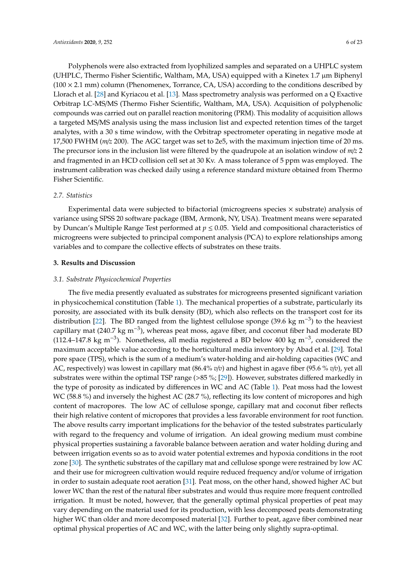Polyphenols were also extracted from lyophilized samples and separated on a UHPLC system (UHPLC, Thermo Fisher Scientific, Waltham, MA, USA) equipped with a Kinetex 1.7 µm Biphenyl  $(100 \times 2.1 \text{ mm})$  column (Phenomenex, Torrance, CA, USA) according to the conditions described by Llorach et al. [\[28\]](#page-20-9) and Kyriacou et al. [\[13\]](#page-20-8). Mass spectrometry analysis was performed on a Q Exactive Orbitrap LC-MS/MS (Thermo Fisher Scientific, Waltham, MA, USA). Acquisition of polyphenolic compounds was carried out on parallel reaction monitoring (PRM). This modality of acquisition allows a targeted MS/MS analysis using the mass inclusion list and expected retention times of the target analytes, with a 30 s time window, with the Orbitrap spectrometer operating in negative mode at 17,500 FWHM (*m*/*z* 200). The AGC target was set to 2e5, with the maximum injection time of 20 ms. The precursor ions in the inclusion list were filtered by the quadrupole at an isolation window of *m*/*z* 2 and fragmented in an HCD collision cell set at 30 Kv. A mass tolerance of 5 ppm was employed. The instrument calibration was checked daily using a reference standard mixture obtained from Thermo Fisher Scientific.

## *2.7. Statistics*

Experimental data were subjected to bifactorial (microgreens species × substrate) analysis of variance using SPSS 20 software package (IBM, Armonk, NY, USA). Treatment means were separated by Duncan's Multiple Range Test performed at *p* ≤ 0.05. Yield and compositional characteristics of microgreens were subjected to principal component analysis (PCA) to explore relationships among variables and to compare the collective effects of substrates on these traits.

## **3. Results and Discussion**

#### *3.1. Substrate Physicochemical Properties*

The five media presently evaluated as substrates for microgreens presented significant variation in physicochemical constitution (Table [1\)](#page-4-0). The mechanical properties of a substrate, particularly its porosity, are associated with its bulk density (BD), which also reflects on the transport cost for its distribution [\[22\]](#page-20-2). The BD ranged from the lightest cellulose sponge (39.6 kg m−<sup>3</sup> ) to the heaviest capillary mat (240.7 kg m−<sup>3</sup> ), whereas peat moss, agave fiber, and coconut fiber had moderate BD (112.4–147.8 kg m−<sup>3</sup> ). Nonetheless, all media registered a BD below 400 kg m−<sup>3</sup> , considered the maximum acceptable value according to the horticultural media inventory by Abad et al. [\[29\]](#page-20-10). Total pore space (TPS), which is the sum of a medium's water-holding and air-holding capacities (WC and AC, respectively) was lowest in capillary mat (86.4% *v*/*v*) and highest in agave fiber (95.6 % *v*/*v*), yet all substrates were within the optimal TSP range (>85 %; [\[29\]](#page-20-10)). However, substrates differed markedly in the type of porosity as indicated by differences in WC and AC (Table [1\)](#page-4-0). Peat moss had the lowest WC (58.8 %) and inversely the highest AC (28.7 %), reflecting its low content of micropores and high content of macropores. The low AC of cellulose sponge, capillary mat and coconut fiber reflects their high relative content of micropores that provides a less favorable environment for root function. The above results carry important implications for the behavior of the tested substrates particularly with regard to the frequency and volume of irrigation. An ideal growing medium must combine physical properties sustaining a favorable balance between aeration and water holding during and between irrigation events so as to avoid water potential extremes and hypoxia conditions in the root zone [\[30\]](#page-20-11). The synthetic substrates of the capillary mat and cellulose sponge were restrained by low AC and their use for microgreen cultivation would require reduced frequency and/or volume of irrigation in order to sustain adequate root aeration [\[31\]](#page-20-12). Peat moss, on the other hand, showed higher AC but lower WC than the rest of the natural fiber substrates and would thus require more frequent controlled irrigation. It must be noted, however, that the generally optimal physical properties of peat may vary depending on the material used for its production, with less decomposed peats demonstrating higher WC than older and more decomposed material [\[32\]](#page-20-13). Further to peat, agave fiber combined near optimal physical properties of AC and WC, with the latter being only slightly supra-optimal.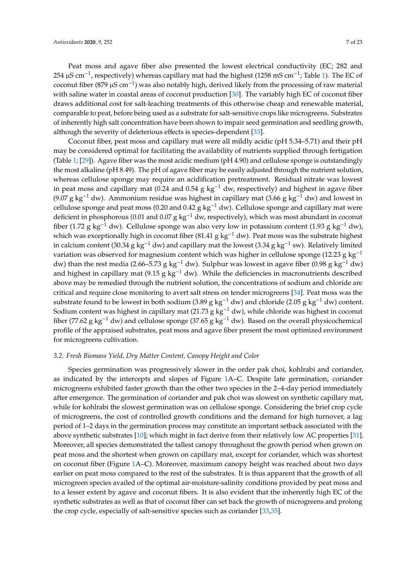Peat moss and agave fiber also presented the lowest electrical conductivity (EC; 282 and

254 µS cm<sup>-1</sup>, respectively) whereas capillary mat had the highest (1258 mS cm<sup>-1</sup>; Table [1\)](#page-4-0). The EC of coconut fiber (879 µS cm−<sup>1</sup> ) was also notably high, derived likely from the processing of raw material with saline water in coastal areas of coconut production [\[30\]](#page-20-11). The variably high EC of coconut fiber draws additional cost for salt-leaching treatments of this otherwise cheap and renewable material, comparable to peat, before being used as a substrate for salt-sensitive crops like microgreens. Substrates of inherently high salt concentration have been shown to impair seed germination and seedling growth, although the severity of deleterious effects is species-dependent [\[33\]](#page-21-0).

Coconut fiber, peat moss and capillary mat were all mildly acidic (pH 5.34–5.71) and their pH may be considered optimal for facilitating the availability of nutrients supplied through fertigation (Table [1;](#page-4-0) [\[29\]](#page-20-10)). Agave fiber was the most acidic medium (pH 4.90) and cellulose sponge is outstandingly the most alkaline (pH 8.49). The pH of agave fiber may be easily adjusted through the nutrient solution, whereas cellulose sponge may require an acidification pretreatment. Residual nitrate was lowest in peat moss and capillary mat (0.24 and 0.54 g kg<sup>-1</sup> dw, respectively) and highest in agave fiber (9.07 g kg<sup>-1</sup> dw). Ammonium residue was highest in capillary mat (3.66 g kg<sup>-1</sup> dw) and lowest in cellulose sponge and peat moss (0.20 and 0.42 g kg<sup>-1</sup> dw). Cellulose sponge and capillary mat were deficient in phosphorous (0.01 and 0.07 g kg<sup>-1</sup> dw, respectively), which was most abundant in coconut fiber (1.72 g kg<sup>-1</sup> dw). Cellulose sponge was also very low in potassium content (1.93 g kg<sup>-1</sup> dw), which was exceptionally high in coconut fiber (81.41 g kg<sup>-1</sup> dw). Peat moss was the substrate highest in calcium content (30.34 g kg<sup>-1</sup> dw) and capillary mat the lowest (3.34 g kg<sup>-1</sup> sw). Relatively limited variation was observed for magnesium content which was higher in cellulose sponge (12.23 g kg<sup>-1</sup> dw) than the rest media (2.66–5.73 g kg<sup>-1</sup> dw). Sulphur was lowest in agave fiber (0.98 g kg<sup>-1</sup> dw) and highest in capillary mat (9.15 g kg<sup>-1</sup> dw). While the deficiencies in macronutrients described above may be remedied through the nutrient solution, the concentrations of sodium and chloride are critical and require close monitoring to avert salt stress on tender microgreens [\[34\]](#page-21-1). Peat moss was the substrate found to be lowest in both sodium (3.89 g kg<sup>-1</sup> dw) and chloride (2.05 g kg<sup>-1</sup> dw) content. Sodium content was highest in capillary mat (21.73 g kg<sup>-1</sup> dw), while chloride was highest in coconut fiber (77.62 g kg−<sup>1</sup> dw) and cellulose sponge (37.65 g kg−<sup>1</sup> dw). Based on the overall physicochemical profile of the appraised substrates, peat moss and agave fiber present the most optimized environment for microgreens cultivation.

# *3.2. Fresh Biomass Yield, Dry Matter Content, Canopy Height and Color*

Species germination was progressively slower in the order pak choi, kohlrabi and coriander, as indicated by the intercepts and slopes of Figure [1A](#page-7-0)–C. Despite late germination, coriander microgreens exhibited faster growth than the other two species in the 2–4-day period immediately after emergence. The germination of coriander and pak choi was slowest on synthetic capillary mat, while for kohlrabi the slowest germination was on cellulose sponge. Considering the brief crop cycle of microgreens, the cost of controlled growth conditions and the demand for high turnover, a lag period of 1–2 days in the germination process may constitute an important setback associated with the above synthetic substrates [\[10\]](#page-19-6); which might in fact derive from their relatively low AC properties [\[31\]](#page-20-12). Moreover, all species demonstrated the tallest canopy throughout the growth period when grown on peat moss and the shortest when grown on capillary mat, except for coriander, which was shortest on coconut fiber (Figure [1A](#page-7-0)–C). Moreover, maximum canopy height was reached about two days earlier on peat moss compared to the rest of the substrates. It is thus apparent that the growth of all microgreen species availed of the optimal air-moisture-salinity conditions provided by peat moss and to a lesser extent by agave and coconut fibers. It is also evident that the inherently high EC of the synthetic substrates as well as that of coconut fiber can set back the growth of microgreens and prolong the crop cycle, especially of salt-sensitive species such as coriander [\[33,](#page-21-0)[35\]](#page-21-2).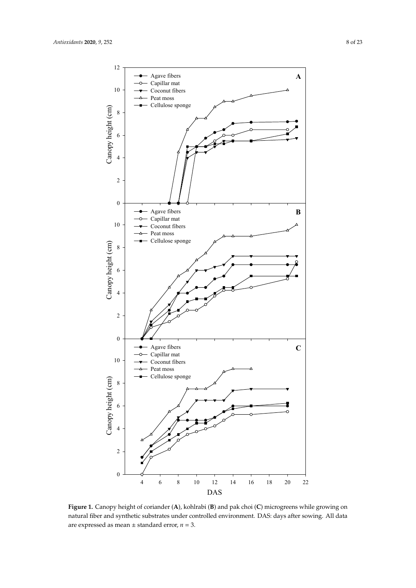<span id="page-7-0"></span>

**Figure 1.** Canopy height of coriander (**A**), kohlrabi (**B**) and pak choi (**C**) microgreens while growing on natural fiber and synthetic substrates under controlled environment. DAS: days after sowing. All natural fiber and synthetic substrates under controlled environment. DAS: days after sowing. All data data are expressed as mean ± standard error, *n* = 3. are expressed as mean ± standard error, *n* = 3.**Figure 1.** Canopy height of coriander (**A**), kohlrabi (**B**) and pak choi (**C**) microgreens while growing on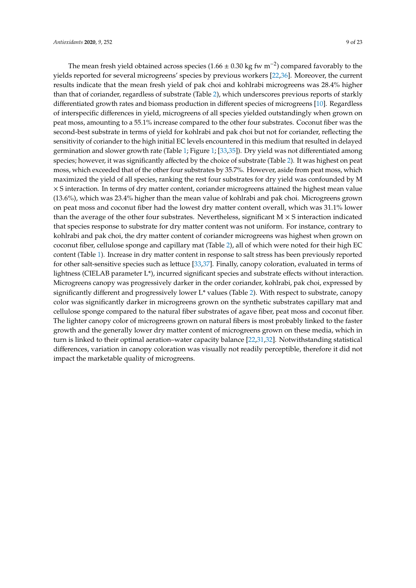The mean fresh yield obtained across species (1.66  $\pm$  0.30 kg fw m<sup>-2</sup>) compared favorably to the yields reported for several microgreens' species by previous workers [\[22,](#page-20-2)[36\]](#page-21-3). Moreover, the current results indicate that the mean fresh yield of pak choi and kohlrabi microgreens was 28.4% higher than that of coriander, regardless of substrate (Table [2\)](#page-9-0), which underscores previous reports of starkly differentiated growth rates and biomass production in different species of microgreens [\[10\]](#page-19-6). Regardless of interspecific differences in yield, microgreens of all species yielded outstandingly when grown on peat moss, amounting to a 55.1% increase compared to the other four substrates. Coconut fiber was the second-best substrate in terms of yield for kohlrabi and pak choi but not for coriander, reflecting the sensitivity of coriander to the high initial EC levels encountered in this medium that resulted in delayed germination and slower growth rate (Table [1;](#page-4-0) Figure [1;](#page-7-0) [\[33](#page-21-0)[,35\]](#page-21-2)). Dry yield was not differentiated among species; however, it was significantly affected by the choice of substrate (Table [2\)](#page-9-0). It was highest on peat moss, which exceeded that of the other four substrates by 35.7%. However, aside from peat moss, which maximized the yield of all species, ranking the rest four substrates for dry yield was confounded by M × S interaction. In terms of dry matter content, coriander microgreens attained the highest mean value (13.6%), which was 23.4% higher than the mean value of kohlrabi and pak choi. Microgreens grown on peat moss and coconut fiber had the lowest dry matter content overall, which was 31.1% lower than the average of the other four substrates. Nevertheless, significant  $M \times S$  interaction indicated that species response to substrate for dry matter content was not uniform. For instance, contrary to kohlrabi and pak choi, the dry matter content of coriander microgreens was highest when grown on coconut fiber, cellulose sponge and capillary mat (Table [2\)](#page-9-0), all of which were noted for their high EC content (Table [1\)](#page-4-0). Increase in dry matter content in response to salt stress has been previously reported for other salt-sensitive species such as lettuce [\[33](#page-21-0)[,37\]](#page-21-4). Finally, canopy coloration, evaluated in terms of lightness (CIELAB parameter L\*), incurred significant species and substrate effects without interaction. Microgreens canopy was progressively darker in the order coriander, kohlrabi, pak choi, expressed by significantly different and progressively lower L\* values (Table [2\)](#page-9-0). With respect to substrate, canopy color was significantly darker in microgreens grown on the synthetic substrates capillary mat and cellulose sponge compared to the natural fiber substrates of agave fiber, peat moss and coconut fiber. The lighter canopy color of microgreens grown on natural fibers is most probably linked to the faster growth and the generally lower dry matter content of microgreens grown on these media, which in turn is linked to their optimal aeration–water capacity balance [\[22](#page-20-2)[,31](#page-20-12)[,32\]](#page-20-13). Notwithstanding statistical differences, variation in canopy coloration was visually not readily perceptible, therefore it did not impact the marketable quality of microgreens.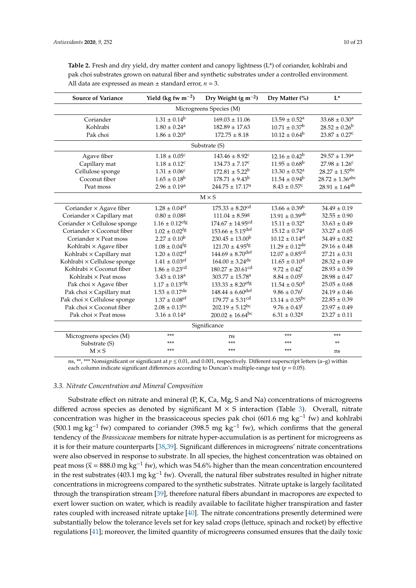| <b>Source of Variance</b>        | Yield (kg fw $m^{-2}$ )        | Dry Weight $(g m^{-2})$          | Dry Matter (%)                 | $L^*$                           |
|----------------------------------|--------------------------------|----------------------------------|--------------------------------|---------------------------------|
|                                  |                                | Microgreens Species (M)          |                                |                                 |
| Coriander                        | $1.31 \pm 0.14^{\rm b}$        | $169.03 \pm 11.06$               | $13.59 \pm 0.52^{\text{a}}$    | $33.68 \pm 0.30$ <sup>a</sup>   |
| Kohlrabi                         | $1.80 \pm 0.24$ <sup>a</sup>   | $182.89 \pm 17.63$               | $10.71 \pm 0.37^{\rm b}$       | $28.52 \pm 0.26^b$              |
| Pak choi                         | $1.86 \pm 0.20^a$              | $172.75 \pm 8.18$                | $10.12 \pm 0.64^b$             | $23.87 \pm 0.27^c$              |
|                                  |                                | Substrate (S)                    |                                |                                 |
| Agave fiber                      | $1.18 \pm 0.05^{\circ}$        | $143.46 \pm 8.92^c$              | $12.16 \pm 0.42^b$             | $29.57 \pm 1.39^a$              |
| Capillary mat                    | $1.18 \pm 0.12$ <sup>c</sup>   | $134.73 \pm 7.17^c$              | $11.95 \pm 0.68^{\rm b}$       | $27.98 \pm 1.26^c$              |
| Cellulose sponge                 | $1.31 \pm 0.06^c$              | $172.81 \pm 5.22^b$              | $13.30 \pm 0.52^{\text{a}}$    | $28.27 \pm 1.57$ <sup>bc</sup>  |
| Coconut fiber                    | $1.65 \pm 0.18^{\rm b}$        | $178.71 \pm 9.43^b$              | $11.54 \pm 0.94^b$             | $28.72 \pm 1.36$ <sup>abc</sup> |
| Peat moss                        | $2.96 \pm 0.19^a$              | $244.75 \pm 17.17^a$             | $8.43 \pm 0.57$ <sup>c</sup>   | $28.91 \pm 1.64^{ab}$           |
|                                  |                                | $M \times S$                     |                                |                                 |
| Coriander $\times$ Agave fiber   | $1.28 \pm 0.04$ <sup>ef</sup>  | $175.33 \pm 8.20$ <sup>cd</sup>  | $13.66 \pm 0.39^b$             | $34.49 \pm 0.19$                |
| Coriander $\times$ Capillary mat | $0.80 \pm 0.08$ <sup>g</sup>   | $111.04 \pm 8.59$ <sup>g</sup>   | $13.91 \pm 0.39$ <sup>ab</sup> | $32.55 \pm 0.90$                |
| Coriander × Cellulose sponge     | $1.16 \pm 0.12$ <sup>efg</sup> | $174.67 \pm 14.95$ <sup>cd</sup> | $15.11 \pm 0.32^{\text{a}}$    | $33.63 \pm 0.49$                |
| Coriander × Coconut fiber        | $1.02 \pm 0.02$ <sup>fg</sup>  | $153.66 \pm 5.15$ def            | $15.12 \pm 0.74$ <sup>a</sup>  | $33.27 \pm 0.05$                |
| Coriander $\times$ Peat moss     | $2.27 \pm 0.10^{\rm b}$        | $230.45 \pm 13.00^{\rm b}$       | $10.12 \pm 0.14$ <sup>ef</sup> | $34.49 \pm 0.82$                |
| Kohlrabi $\times$ Agave fiber    | $1.08 \pm 0.04$ <sup>fg</sup>  | $121.70 \pm 4.95$ <sup>fg</sup>  | $11.29 \pm 0.12$ <sup>de</sup> | $29.16 \pm 0.48$                |
| Kohlrabi × Capillary mat         | $1.20 \pm 0.02$ <sup>ef</sup>  | $144.69 \pm 8.70$ <sup>def</sup> | $12.07 \pm 0.85$ <sup>cd</sup> | $27.21 \pm 0.31$                |
| Kohlrabi × Cellulose sponge      | $1.41 \pm 0.03$ <sup>ef</sup>  | $164.00 \pm 3.24$ <sup>de</sup>  | $11.65 \pm 0.10^d$             | $28.32 \pm 0.49$                |
| Kohlrabi × Coconut fiber         | $1.86 \pm 0.23$ <sup>cd</sup>  | $180.27 \pm 20.61$ <sup>cd</sup> | $9.72 \pm 0.42^f$              | $28.93 \pm 0.59$                |
| Kohlrabi × Peat moss             | $3.43 \pm 0.18^a$              | $303.77 \pm 15.78$ <sup>a</sup>  | $8.84 \pm 0.05$ <sup>f</sup>   | $28.98 \pm 0.47$                |
| Pak choi $\times$ Agave fiber    | $1.17 \pm 0.13$ <sup>efg</sup> | $133.33 \pm 8.20$ <sup>efg</sup> | $11.54 \pm 0.50$ <sup>d</sup>  | $25.05 \pm 0.68$                |
| Pak choi $\times$ Capillary mat  | $1.53 \pm 0.17^{\rm de}$       | $148.44 \pm 6.60$ def            | $9.86 \pm 0.76$ <sup>f</sup>   | $24.19 \pm 0.46$                |
| Pak choi × Cellulose sponge      | $1.37 \pm 0.08$ <sup>ef</sup>  | $179.77 \pm 5.31$ <sup>cd</sup>  | $13.14 \pm 0.35$ <sup>bc</sup> | $22.85 \pm 0.39$                |
| Pak choi × Coconut fiber         | $2.08 \pm 0.13$ bc             | $202.19 \pm 5.12$ <sup>bc</sup>  | $9.76 \pm 0.43^f$              | $23.97 \pm 0.49$                |
| Pak choi $\times$ Peat moss      | $3.16 \pm 0.14$ <sup>a</sup>   | $200.02 \pm 16.64$ <sup>bc</sup> | $6.31 \pm 0.32$ <sup>g</sup>   | $23.27 \pm 0.11$                |
|                                  |                                | Significance                     |                                |                                 |
| Microgreens species (M)          | ***                            | ns                               | ***                            | ***                             |
| Substrate (S)                    | ***                            | ***                              | ***                            | **                              |
| $M \times S$                     | ***                            | $***$                            | ***                            | ns                              |

<span id="page-9-0"></span>**Table 2.** Fresh and dry yield, dry matter content and canopy lightness (L\*) of coriander, kohlrabi and pak choi substrates grown on natural fiber and synthetic substrates under a controlled environment. All data are expressed as mean  $\pm$  standard error,  $n = 3$ .

ns, \*\*, \*\*\* Nonsignificant or significant at *p* ≤ 0.01, and 0.001, respectively. Different superscript letters (a–g) within each column indicate significant differences according to Duncan's multiple-range test (*p* = 0.05).

## *3.3. Nitrate Concentration and Mineral Composition*

Substrate effect on nitrate and mineral (P, K, Ca, Mg, S and Na) concentrations of microgreens differed across species as denoted by significant  $M \times S$  interaction (Table [3\)](#page-11-0). Overall, nitrate concentration was higher in the brassicaceous species pak choi (601.6 mg kg−<sup>1</sup> fw) and kohlrabi (500.1 mg kg−<sup>1</sup> fw) compared to coriander (398.5 mg kg−<sup>1</sup> fw), which confirms that the general tendency of the *Brassicaceae* members for nitrate hyper-accumulation is as pertinent for microgreens as it is for their mature counterparts [\[38,](#page-21-5)[39\]](#page-21-6). Significant differences in microgreens' nitrate concentrations were also observed in response to substrate. In all species, the highest concentration was obtained on peat moss ( $\bar{x}$  = 888.0 mg kg<sup>-1</sup> fw), which was 54.6% higher than the mean concentration encountered in the rest substrates (403.1 mg kg−<sup>1</sup> fw). Overall, the natural fiber substrates resulted in higher nitrate concentrations in microgreens compared to the synthetic substrates. Nitrate uptake is largely facilitated through the transpiration stream [\[39\]](#page-21-6), therefore natural fibers abundant in macropores are expected to exert lower suction on water, which is readily available to facilitate higher transpiration and faster rates coupled with increased nitrate uptake [\[40\]](#page-21-7). The nitrate concentrations presently determined were substantially below the tolerance levels set for key salad crops (lettuce, spinach and rocket) by effective regulations [\[41\]](#page-21-8); moreover, the limited quantity of microgreens consumed ensures that the daily toxic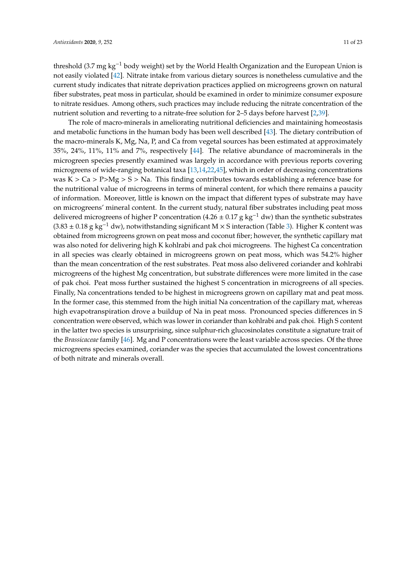threshold (3.7 mg kg<sup>-1</sup> body weight) set by the World Health Organization and the European Union is not easily violated [\[42\]](#page-21-9). Nitrate intake from various dietary sources is nonetheless cumulative and the current study indicates that nitrate deprivation practices applied on microgreens grown on natural fiber substrates, peat moss in particular, should be examined in order to minimize consumer exposure to nitrate residues. Among others, such practices may include reducing the nitrate concentration of the nutrient solution and reverting to a nitrate-free solution for 2–5 days before harvest [\[2,](#page-19-1)[39\]](#page-21-6).

The role of macro-minerals in ameliorating nutritional deficiencies and maintaining homeostasis and metabolic functions in the human body has been well described [\[43\]](#page-21-10). The dietary contribution of the macro-minerals K, Mg, Na, P, and Ca from vegetal sources has been estimated at approximately 35%, 24%, 11%, 11% and 7%, respectively [\[44\]](#page-21-11). The relative abundance of macrominerals in the microgreen species presently examined was largely in accordance with previous reports covering microgreens of wide-ranging botanical taxa [\[13](#page-20-8)[,14](#page-20-14)[,22](#page-20-2)[,45\]](#page-21-12), which in order of decreasing concentrations was K > Ca > P>Mg > S > Na. This finding contributes towards establishing a reference base for the nutritional value of microgreens in terms of mineral content, for which there remains a paucity of information. Moreover, little is known on the impact that different types of substrate may have on microgreens' mineral content. In the current study, natural fiber substrates including peat moss delivered microgreens of higher P concentration (4.26 ± 0.17 g kg<sup>-1</sup> dw) than the synthetic substrates  $(3.83 \pm 0.18 \text{ g kg}^{-1} \text{ dw})$ , notwithstanding significant M × S interaction (Table [3\)](#page-11-0). Higher K content was obtained from microgreens grown on peat moss and coconut fiber; however, the synthetic capillary mat was also noted for delivering high K kohlrabi and pak choi microgreens. The highest Ca concentration in all species was clearly obtained in microgreens grown on peat moss, which was 54.2% higher than the mean concentration of the rest substrates. Peat moss also delivered coriander and kohlrabi microgreens of the highest Mg concentration, but substrate differences were more limited in the case of pak choi. Peat moss further sustained the highest S concentration in microgreens of all species. Finally, Na concentrations tended to be highest in microgreens grown on capillary mat and peat moss. In the former case, this stemmed from the high initial Na concentration of the capillary mat, whereas high evapotranspiration drove a buildup of Na in peat moss. Pronounced species differences in S concentration were observed, which was lower in coriander than kohlrabi and pak choi. High S content in the latter two species is unsurprising, since sulphur-rich glucosinolates constitute a signature trait of the *Brassicaceae* family [\[46\]](#page-21-13). Mg and P concentrations were the least variable across species. Of the three microgreens species examined, coriander was the species that accumulated the lowest concentrations of both nitrate and minerals overall.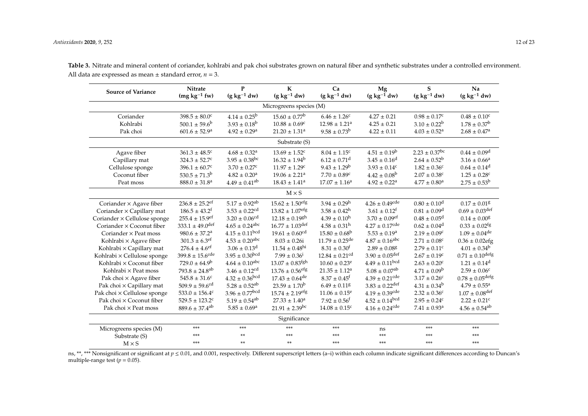| <b>Source of Variance</b>        | <b>Nitrate</b><br>$(mg kg-1 fw)$ | P<br>$(g\ kg^{-1}\ dw)$        | $\mathbf{K}$<br>$(g kg-1 dw)$   | Ca<br>$(g kg-1 dw)$            | Mg<br>$(g kg-1 dw)$            | S<br>(g $\rm kg^{-1}$ dw)     | Na<br>$(g kg-1 dw)$            |
|----------------------------------|----------------------------------|--------------------------------|---------------------------------|--------------------------------|--------------------------------|-------------------------------|--------------------------------|
|                                  |                                  |                                | Microgreens species (M)         |                                |                                |                               |                                |
| Coriander                        | $398.5 \pm 80.0^{\circ}$         | $4.14 \pm 0.25^{\rm b}$        | $15.60 \pm 0.77^{\rm b}$        | $6.46 \pm 1.26^c$              | $4.27 \pm 0.21$                | $0.98 \pm 0.17^c$             | $0.48 \pm 0.10^c$              |
| Kohlrabi                         | $500.1 \pm 59.6^b$               | $3.93 \pm 0.18^b$              | $10.88 \pm 0.69^c$              | $12.98 \pm 1.21^a$             | $4.25 \pm 0.21$                | $3.10 \pm 0.22^b$             | $1.78 \pm 0.37^b$              |
| Pak choi                         | $601.6 \pm 52.9^{\text{a}}$      | $4.92 \pm 0.29^{\rm a}$        | $21.20 \pm 1.31$ <sup>a</sup>   | $9.58 \pm 0.73^b$              | $4.22 \pm 0.11$                | $4.03 \pm 0.52$ <sup>a</sup>  | $2.68 \pm 0.47$ <sup>a</sup>   |
|                                  |                                  |                                | Substrate (S)                   |                                |                                |                               |                                |
| Agave fiber                      | $361.3 \pm 48.5$ <sup>c</sup>    | $4.68 \pm 0.32^{\text{a}}$     | $13.69 \pm 1.52^c$              | $8.04 \pm 1.15$ <sup>c</sup>   | $4.51 \pm 0.19^b$              | $2.23 \pm 0.37$ <sup>bc</sup> | $0.44 \pm 0.09$ <sup>d</sup>   |
| Capillary mat                    | $324.3 \pm 52.7^c$               | $3.95 \pm 0.38$ <sup>bc</sup>  | $16.32 \pm 1.94^b$              | $6.12 \pm 0.71$ <sup>d</sup>   | $3.45 \pm 0.16^d$              | $2.64 \pm 0.52^b$             | $3.16 \pm 0.66^a$              |
| Cellulose sponge                 | $396.1 \pm 60.7^c$               | $3.70 \pm 0.27$ <sup>c</sup>   | $11.97 \pm 1.29$ <sup>c</sup>   | $9.43 \pm 1.29^b$              | $3.93\pm0.14^{\rm c}$          | $1.82 \pm 0.36^c$             | $0.64 \pm 0.14$ <sup>d</sup>   |
| Coconut fiber                    | $530.5 \pm 71.3^b$               | $4.82 \pm 0.20^a$              | $19.06 \pm 2.21$ <sup>a</sup>   | $7.70 \pm 0.89^c$              | $4.42 \pm 0.08^{\rm b}$        | $2.07 \pm 0.38^c$             | $1.25 \pm 0.28^c$              |
| Peat moss                        | $888.0 \pm 31.8^a$               | $4.49 \pm 0.41^{ab}$           | $18.43 \pm 1.41^a$              | $17.07 \pm 1.16^a$             | $4.92 \pm 0.22^a$              | $4.77 \pm 0.80^a$             | $2.75 \pm 0.53^{\rm b}$        |
|                                  |                                  |                                |                                 |                                |                                |                               |                                |
| Coriander $\times$ Agave fiber   | $236.8 \pm 25.2$ <sup>et</sup>   | $5.17 \pm 0.92$ <sup>ab</sup>  | $15.62 \pm 1.50$ <sup>efg</sup> | $3.94 \pm 0.29^{\rm h}$        | $4.26 \pm 0.49$ <sup>cde</sup> | $0.80 \pm 0.10^d$             | $0.17 \pm 0.018$               |
| Coriander × Capillary mat        | $186.5 \pm 43.2^f$               | $3.53 \pm 0.22$ <sup>cd</sup>  | $13.82 \pm 1.07$ <sup>efg</sup> | $3.58 \pm 0.42^{\rm h}$        | $3.61 \pm 0.12^f$              | $0.81 \pm 0.09$ <sup>d</sup>  | $0.69 \pm 0.03$ def            |
| Coriander × Cellulose sponge     | $255.4 \pm 15.9$ <sup>ef</sup>   | $3.20 \pm 0.06$ <sup>cd</sup>  | $12.18 \pm 0.19$ <sup>gh</sup>  | $4.39 \pm 0.10^{\rm h}$        | $3.70 \pm 0.09$ <sup>ef</sup>  | $0.48 \pm 0.05^{\rm d}$       | $0.14 \pm 0.008$               |
| Coriander $\times$ Coconut fiber | $333.1 \pm 49.0$ def             | $4.65 \pm 0.24$ <sup>abc</sup> | $16.77 \pm 1.03$ <sup>def</sup> | $4.58 \pm 0.31^h$              | $4.27 \pm 0.17$ <sup>cde</sup> | $0.62 \pm 0.04$ <sup>d</sup>  | $0.33 \pm 0.02$ <sup>fg</sup>  |
| Coriander $\times$ Peat moss     | $980.6 \pm 37.2^a$               | $4.15 \pm 0.11$ bcd            | $19.61 \pm 0.60^{cd}$           | $15.80 \pm 0.68^{\rm b}$       | $5.53 \pm 0.19^a$              | $2.19 \pm 0.09^c$             | $1.09 \pm 0.04^{\rm de}$       |
| Kohlrabi $\times$ Agave fiber    | $301.3 \pm 6.3$ <sup>ef</sup>    | $4.53 \pm 0.20$ <sup>abc</sup> | $8.03 \pm 0.26i$                | $11.79 \pm 0.25$ <sup>de</sup> | $4.87 \pm 0.16^{\rm abc}$      | $2.71 \pm 0.08^c$             | $0.36 \pm 0.02$ efg            |
| Kohlrabi × Capillary mat         | $276.4 \pm 4.6$ <sup>ef</sup>    | $3.06 \pm 0.13$ <sup>d</sup>   | $11.54 \pm 0.48^{\rm hi}$       | $8.31 \pm 0.30^f$              | $2.89 \pm 0.08$ <sup>g</sup>   | $2.79 \pm 0.11$ <sup>c</sup>  | $4.01\pm0.34^{\rm b}$          |
| Kohlrabi × Cellulose sponge      | $399.8 \pm 15.6$ <sup>cde</sup>  | $3.95 \pm 0.30^{bcd}$          | $7.99 \pm 0.36^{\rm i}$         | $12.84 \pm 0.21$ <sup>cd</sup> | $3.90 \pm 0.05^{\text{def}}$   | $2.67 \pm 0.19^c$             | $0.71 \pm 0.10^{\text{defg}}$  |
| Kohlrabi × Coconut fiber         | $729.0 \pm 64.9^b$               | $4.64 \pm 0.10^{abc}$          | $13.07 \pm 0.83$ <sup>fgh</sup> | $10.60 \pm 0.23^e$             | $4.49 \pm 0.11$ bcd            | $2.63 \pm 0.20^c$             | $1.21 \pm 0.14$ <sup>d</sup>   |
| Kohlrabi × Peat moss             | $793.8 \pm 24.8$ <sup>ab</sup>   | $3.46 \pm 0.12$ <sup>cd</sup>  | $13.76 \pm 0.56$ <sup>efg</sup> | $21.35 \pm 1.12^a$             | $5.08 \pm 0.07$ <sup>ab</sup>  | $4.71 \pm 0.09^b$             | $2.59 \pm 0.06^c$              |
| Pak choi × Agave fiber           | $545.8 \pm 31.6^c$               | $4.32 \pm 0.36$ bcd            | $17.43 \pm 0.64$ <sup>de</sup>  | $8.37 \pm 0.45$ <sup>f</sup>   | $4.39 \pm 0.21$ <sup>cde</sup> | $3.17 \pm 0.26^c$             | $0.78 \pm 0.05^{\text{defg}}$  |
| Pak choi × Capillary mat         | $509.9 \pm 59.6$ <sup>cd</sup>   | $5.28 \pm 0.52$ <sup>ab</sup>  | $23.59 \pm 1.70^{\rm b}$        | $6.49 \pm 0.11^8$              | $3.83 \pm 0.22$ def            | $4.31 \pm 0.34^b$             | $4.79 \pm 0.55^{\text{a}}$     |
| Pak choi × Cellulose sponge      | $533.0 \pm 156.4^c$              | $3.96 \pm 0.77$ bcd            | $15.74 \pm 2.19$ <sup>efg</sup> | $11.06 \pm 0.15^e$             | $4.19 \pm 0.39$ <sup>cde</sup> | $2.32 \pm 0.36^c$             | $1.07 \pm 0.08$ <sup>def</sup> |
| Pak choi × Coconut fiber         | $529.5 \pm 123.2^c$              | $5.19 \pm 0.54$ <sup>ab</sup>  | $27.33 \pm 1.40^a$              | $7.92 \pm 0.56$ <sup>f</sup>   | $4.52 \pm 0.14$ <sup>bcd</sup> | $2.95\pm0.24^{\rm c}$         | $2.22 \pm 0.21$ <sup>c</sup>   |
| Pak choi × Peat moss             | $889.6 \pm 37.4$ <sup>ab</sup>   | $5.85 \pm 0.69^{\rm a}$        | $21.91 \pm 2.39$ bc             | $14.08 \pm 0.15$ <sup>c</sup>  | $4.16 \pm 0.24$ <sup>cde</sup> | $7.41 \pm 0.93$ <sup>a</sup>  | $4.56 \pm 0.54$ <sup>ab</sup>  |
|                                  |                                  |                                | Significance                    |                                |                                |                               |                                |
| Microgreens species (M)          | $***$                            | ***                            | $***$                           | ***                            | ns                             | ***                           | ***                            |
| Substrate (S)                    | $***$                            | **                             | $***$                           | ***                            | ***                            | ***                           | ***                            |
| $M \times S$                     | $***$                            | **                             | $***$                           | ***                            | $***$                          | ***                           | ***                            |

**Table 3.** Nitrate and mineral content of coriander, kohlrabi and pak choi substrates grown on natural fiber and synthetic substrates under a controlled environment. All data are expressed as mean  $\pm$  standard error,  $n = 3$ .

<span id="page-11-0"></span>ns, \*\*, \*\*\* Nonsignificant or significant at  $p \le 0.01$ , and 0.001, respectively. Different superscript letters (a–i) within each column indicate significant differences according to Duncan's multiple-range test  $(p = 0.05)$ .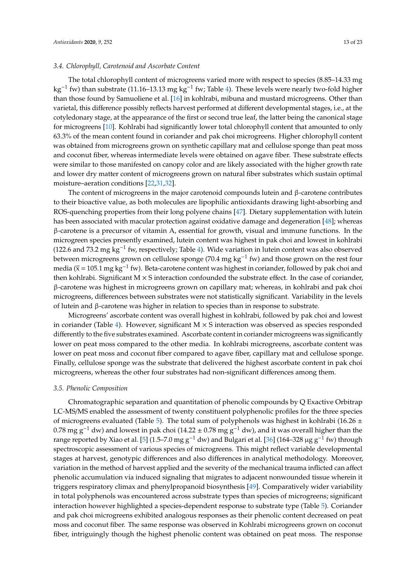## *3.4. Chlorophyll, Carotenoid and Ascorbate Content*

The total chlorophyll content of microgreens varied more with respect to species (8.85–14.33 mg kg<sup>-1</sup> fw) than substrate (11.16–13.13 mg kg<sup>-1</sup> fw; Table [4\)](#page-13-0). These levels were nearly two-fold higher than those found by Samuoliene et al. [\[16\]](#page-20-15) in kohlrabi, mibuna and mustard microgreens. Other than varietal, this difference possibly reflects harvest performed at different developmental stages, i.e., at the cotyledonary stage, at the appearance of the first or second true leaf, the latter being the canonical stage for microgreens [\[10\]](#page-19-6). Kohlrabi had significantly lower total chlorophyll content that amounted to only 63.3% of the mean content found in coriander and pak choi microgreens. Higher chlorophyll content was obtained from microgreens grown on synthetic capillary mat and cellulose sponge than peat moss and coconut fiber, whereas intermediate levels were obtained on agave fiber. These substrate effects were similar to those manifested on canopy color and are likely associated with the higher growth rate and lower dry matter content of microgreens grown on natural fiber substrates which sustain optimal moisture–aeration conditions [\[22,](#page-20-2)[31,](#page-20-12)[32\]](#page-20-13).

The content of microgreens in the major carotenoid compounds lutein and β-carotene contributes to their bioactive value, as both molecules are lipophilic antioxidants drawing light-absorbing and ROS-quenching properties from their long polyene chains [\[47\]](#page-21-14). Dietary supplementation with lutein has been associated with macular protection against oxidative damage and degeneration [\[48\]](#page-21-15); whereas β-carotene is a precursor of vitamin A, essential for growth, visual and immune functions. In the microgreen species presently examined, lutein content was highest in pak choi and lowest in kohlrabi (122.6 and 73.2 mg kg−<sup>1</sup> fw, respectively; Table [4\)](#page-13-0). Wide variation in lutein content was also observed between microgreens grown on cellulose sponge (70.4 mg kg−<sup>1</sup> fw) and those grown on the rest four media ( $\bar{x}$  = 105.1 mg kg<sup>-1</sup> fw). Beta-carotene content was highest in coriander, followed by pak choi and then kohlrabi. Significant  $M \times S$  interaction confounded the substrate effect. In the case of coriander, β-carotene was highest in microgreens grown on capillary mat; whereas, in kohlrabi and pak choi microgreens, differences between substrates were not statistically significant. Variability in the levels of lutein and β-carotene was higher in relation to species than in response to substrate.

Microgreens' ascorbate content was overall highest in kohlrabi, followed by pak choi and lowest in coriander (Table [4\)](#page-13-0). However, significant  $M \times S$  interaction was observed as species responded differently to the five substrates examined. Ascorbate content in coriander microgreens was significantly lower on peat moss compared to the other media. In kohlrabi microgreens, ascorbate content was lower on peat moss and coconut fiber compared to agave fiber, capillary mat and cellulose sponge. Finally, cellulose sponge was the substrate that delivered the highest ascorbate content in pak choi microgreens, whereas the other four substrates had non-significant differences among them.

#### *3.5. Phenolic Composition*

Chromatographic separation and quantitation of phenolic compounds by Q Exactive Orbitrap LC-MS/MS enabled the assessment of twenty constituent polyphenolic profiles for the three species of microgreens evaluated (Table [5\)](#page-15-0). The total sum of polyphenols was highest in kohlrabi (16.26  $\pm$ 0.78 mg g<sup>-1</sup> dw) and lowest in pak choi (14.22 ± 0.78 mg g<sup>-1</sup> dw), and it was overall higher than the range reported by Xiao et al. [\[5\]](#page-19-8) (1.5–7.0 mg g<sup>-1</sup> dw) and Bulgari et al. [\[36\]](#page-21-3) (164–328 µg g<sup>-1</sup> fw) through spectroscopic assessment of various species of microgreens. This might reflect variable developmental stages at harvest, genotypic differences and also differences in analytical methodology. Moreover, variation in the method of harvest applied and the severity of the mechanical trauma inflicted can affect phenolic accumulation via induced signaling that migrates to adjacent nonwounded tissue wherein it triggers respiratory climax and phenylpropanoid biosynthesis [\[49\]](#page-21-16). Comparatively wider variability in total polyphenols was encountered across substrate types than species of microgreens; significant interaction however highlighted a species-dependent response to substrate type (Table [5\)](#page-15-0). Coriander and pak choi microgreens exhibited analogous responses as their phenolic content decreased on peat moss and coconut fiber. The same response was observed in Kohlrabi microgreens grown on coconut fiber, intriguingly though the highest phenolic content was obtained on peat moss. The response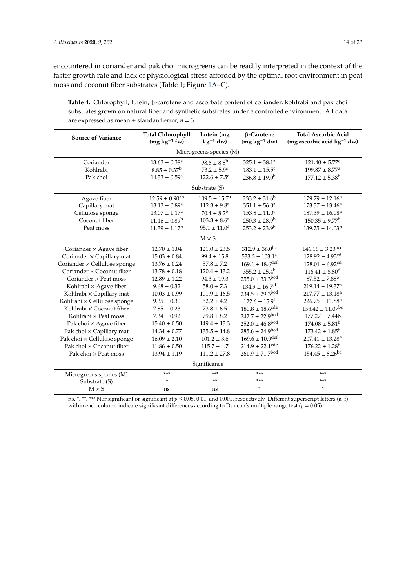encountered in coriander and pak choi microgreens can be readily interpreted in the context of the faster growth rate and lack of physiological stress afforded by the optimal root environment in peat moss and coconut fiber substrates (Table [1;](#page-4-0) Figure [1A](#page-7-0)–C).

<span id="page-13-0"></span>**Table 4.** Chlorophyll, lutein, β-carotene and ascorbate content of coriander, kohlrabi and pak choi substrates grown on natural fiber and synthetic substrates under a controlled environment. All data are expressed as mean ± standard error, *n* = 3.

| <b>Source of Variance</b>        | <b>Total Chlorophyll</b><br>$(mg kg-1 fw)$ | Lutein (mg<br>$kg^{-1}$ dw) | β-Carotene<br>$(mg kg-1 dw)$   | <b>Total Ascorbic Acid</b><br>(mg ascorbic acid $kg^{-1}$ dw) |
|----------------------------------|--------------------------------------------|-----------------------------|--------------------------------|---------------------------------------------------------------|
|                                  |                                            | Microgreens species (M)     |                                |                                                               |
| Coriander                        | $13.63 \pm 0.38^a$                         | $98.6 \pm 8.8^{b}$          | $325.1 \pm 38.1^a$             | $121.40 \pm 5.77^c$                                           |
| Kohlrabi                         | $8.85 \pm 0.37^b$                          | $73.2 \pm 5.9^{\circ}$      | $183.1 \pm 15.5^c$             | $199.87 \pm 8.77$ <sup>a</sup>                                |
| Pak choi                         | $14.33 \pm 0.59^{\text{a}}$                | $122.6 \pm 7.5^{\text{a}}$  | $236.8 \pm 19.0^b$             | $177.12 \pm 5.38^b$                                           |
|                                  |                                            | Substrate (S)               |                                |                                                               |
| Agave fiber                      | $12.59 \pm 0.90^{ab}$                      | $109.5 \pm 15.7^{\circ}$    | $233.2 \pm 31.6^b$             | $179.79 \pm 12.16^a$                                          |
| Capillary mat                    | $13.13 \pm 0.89^a$                         | $112.3 \pm 9.8^a$           | $351.1 \pm 56.0^a$             | $173.37 \pm 13.46^a$                                          |
| Cellulose sponge                 | $13.07 \pm 1.17^a$                         | $70.4 \pm 8.2^{\rm b}$      | $153.8 \pm 11.0^c$             | $187.39 \pm 16.08^a$                                          |
| Coconut fiber                    | $11.16 \pm 0.89^b$                         | $103.3 \pm 8.6^a$           | $250.3 \pm 28.9^b$             | $150.35 \pm 9.77^{\rm b}$                                     |
| Peat moss                        | $11.39 \pm 1.17^b$                         | $95.1 \pm 11.0^a$           | $253.2 \pm 23.9^b$             | $139.75 \pm 14.03^b$                                          |
|                                  |                                            | $M \times S$                |                                |                                                               |
| Coriander $\times$ Agave fiber   | $12.70 \pm 1.04$                           | $121.0 \pm 23.5$            | $312.9 \pm 36.0^{\rm bc}$      | $146.16 \pm 3.23$ bcd                                         |
| Coriander $\times$ Capillary mat | $15.03 \pm 0.84$                           | $99.4 \pm 15.8$             | $533.3 \pm 103.1^a$            | $128.92 \pm 4.93$ <sup>cd</sup>                               |
| Coriander × Cellulose sponge     | $13.76 \pm 0.24$                           | $57.8 \pm 7.2$              | $169.1 \pm 18.6$ def           | $128.01 \pm 6.92$ <sup>cd</sup>                               |
| Coriander × Coconut fiber        | $13.78 \pm 0.18$                           | $120.4 \pm 13.2$            | $355.2 \pm 25.4^{\rm b}$       | $116.41 \pm 8.80$ <sup>d</sup>                                |
| Coriander $\times$ Peat moss     | $12.89 \pm 1.22$                           | $94.3 \pm 19.3$             | $255.0 \pm 33.3$ bcd           | $87.52 \pm 7.88$ <sup>e</sup>                                 |
| Kohlrabi $\times$ Agave fiber    | $9.68 \pm 0.32$                            | $58.0 \pm 7.3$              | $134.9 \pm 16.7$ <sup>ef</sup> | $219.14 \pm 19.37$ <sup>a</sup>                               |
| Kohlrabi × Capillary mat         | $10.03 \pm 0.99$                           | $101.9 \pm 16.5$            | $234.5 \pm 29.3$ bcd           | $217.77 \pm 13.18^a$                                          |
| Kohlrabi × Cellulose sponge      | $9.35 \pm 0.30$                            | $52.2 \pm 4.2$              | $122.6 \pm 15.9^f$             | $226.75 \pm 11.88$ <sup>a</sup>                               |
| Kohlrabi × Coconut fiber         | $7.85 \pm 0.23$                            | $73.8 \pm 6.5$              | $180.8 \pm 18.6$ cde           | $158.42 \pm 11.07$ <sup>bc</sup>                              |
| Kohlrabi × Peat moss             | $7.34 \pm 0.92$                            | $79.8 \pm 8.2$              | $242.7 \pm 22.9$ bcd           | $177.27 \pm 7.44b$                                            |
| Pak choi $\times$ Agave fiber    | $15.40 \pm 0.50$                           | $149.4 \pm 13.3$            | $252.0 \pm 46.8$ bcd           | $174.08 \pm 5.81^{\rm b}$                                     |
| Pak choi $\times$ Capillary mat  | $14.34 \pm 0.77$                           | $135.5 \pm 14.8$            | $285.6 \pm 24.9$ bcd           | $173.42 \pm 1.85^{\rm b}$                                     |
| Pak choi × Cellulose sponge      | $16.09 \pm 2.10$                           | $101.2 \pm 3.6$             | $169.6 \pm 10.9$ def           | $207.41 \pm 13.28^a$                                          |
| Pak choi × Coconut fiber         | $11.86 \pm 0.50$                           | $115.7 \pm 4.7$             | $214.9 \pm 22.1$ cde           | $176.22 \pm 1.28^b$                                           |
| Pak choi $\times$ Peat moss      | $13.94 \pm 1.19$                           | $111.2 \pm 27.8$            | $261.9 \pm 71.7$ bcd           | $154.45 \pm 8.26$ <sup>bc</sup>                               |
|                                  |                                            | Significance                |                                |                                                               |
| Microgreens species (M)          | ***                                        | $***$                       | ***                            | ***                                                           |
| Substrate (S)                    | $\ast$                                     | $**$                        | ***                            | ***                                                           |
| $M \times S$                     | ns                                         | ns                          | *                              | $\ast$                                                        |

ns, \*, \*\*, \*\*\* Nonsignificant or significant at *p* ≤ 0.05, 0.01, and 0.001, respectively. Different superscript letters (a–f) within each column indicate significant differences according to Duncan's multiple-range test (*p* = 0.05).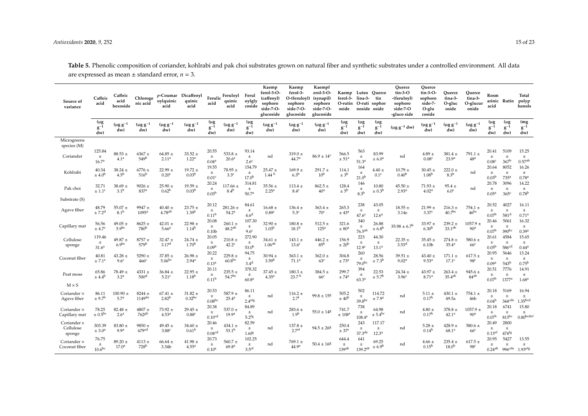**Table 5.** Phenolic composition of coriander, kohlrabi and pak choi substrates grown on natural fiber and synthetic substrates under a controlled environment. All data are expressed as mean  $\pm$  standard error,  $n = 3$ .

| Source of<br>variance               | Caffeic<br>acid                      | Caffeic<br>acid<br>hexoside      | Chloroge<br>nic acid            | oylquinic<br>acid                 | p-Coumar Dicaffeoyl<br>quinic<br>acid | Ferulic<br>acid                      | Feruloyl<br>quinic<br>acid        | Ferul<br>oylgly<br>coside             | Kaemp<br>ferol-3-O-<br>(caffeoyl)<br>sophoro<br>side-7-O-<br>glucoside | Kaemp<br>ferol-3-<br>O-(feruloyl)<br>sophoro<br>side-7-O-<br>glucoside | Kaempf<br>erol-3-O-<br>(synapil)<br>sophoro<br>side-7-O-<br>glucoside | ferol-3-<br>O-rutin<br>oside        | Kaemp Luteo Ouerce<br>lina-3-<br>noside oside | tin<br>O-ruti sophor                 | Querce<br>tin-3-O<br>-(ferulovl)<br>sophoro<br>side-7-O<br>-gluco side | Ouerce<br>tin-3-O-<br>sophoro<br>side-7-<br>O-glu<br>coside | Ouerce<br>tina-3-<br>O-gluc<br>oside | Ouerce<br>tina-3-<br>O-glucur<br>onide | Rosm<br>acid                        | arinic Rutin                          | Total<br>polyp<br>henols                |
|-------------------------------------|--------------------------------------|----------------------------------|---------------------------------|-----------------------------------|---------------------------------------|--------------------------------------|-----------------------------------|---------------------------------------|------------------------------------------------------------------------|------------------------------------------------------------------------|-----------------------------------------------------------------------|-------------------------------------|-----------------------------------------------|--------------------------------------|------------------------------------------------------------------------|-------------------------------------------------------------|--------------------------------------|----------------------------------------|-------------------------------------|---------------------------------------|-----------------------------------------|
|                                     | $(\mu g)$<br>$g^{-1}$<br>dw          | $(\mu g g^{-1})$<br>dw)          | $(\mu g g^{-1})$<br>dw)         | $(\mu g g^{-1})$<br>dw)           | $(\mu g g^{-1})$<br>dw)               | $(\mu g)$<br>$g^{-1}$<br>dw)         | $(\mu g g^{-1})$<br>dw            | $(\mu g)$<br>$g^{-1}$<br>dw)          | $(\mu g g^{-1})$<br>dw)                                                | $(\mu g g^{-1})$<br>dw)                                                | $(\mu g g^{-1})$<br>dw)                                               | $(\mu g)$<br>$g^{-1}$<br>dw)        | (μg<br>$g^{-1}$<br>dw)                        | $\int_{g^{-1}}^{(µ)}$<br>dw)         | $(\mu g\;g^{-1}\;dw)$                                                  | $(\mu g g^{-1})$<br>dw)                                     | $(\mu g g^{-1})$<br>dw)              | $(\mu g g^{-1})$<br>dw                 | $(\mu g)$<br>$g^{-1}$<br>dw)        | $\int_{g^{-1}}^{(µ)}$<br>dw)          | (mg)<br>$g^{-1}$<br>dw                  |
| Microgreens<br>species (M)          |                                      |                                  |                                 |                                   |                                       |                                      |                                   |                                       |                                                                        |                                                                        |                                                                       |                                     |                                               |                                      |                                                                        |                                                             |                                      |                                        |                                     |                                       |                                         |
| Coriander                           | 125.84<br>$\pm$<br>16.7 <sup>a</sup> | $88.53 \pm$<br>4.1 <sup>a</sup>  | $6367 \pm$<br>549 <sup>b</sup>  | 64.85 $\pm$<br>2.11 <sup>a</sup>  | $33.52 \pm$<br>1.22 <sup>a</sup>      | 20.55<br>$\pm$<br>0.04 <sup>a</sup>  | 533.8 $\pm$<br>20.6 <sup>a</sup>  | 93.14<br>$\pm$<br>2.6 <sup>c</sup>    | nd                                                                     | $319.0 \pm$<br>44.7 <sup>a</sup>                                       | $86.9 \pm 14^c$                                                       | 566.5<br>$\pm 51^{\circ}$           | 563<br>$\pm$<br>51.3 <sup>a</sup>             | 83.99<br>$\pm 6.0^{\mathrm{a}}$      | nd                                                                     | $4.89 \pm$<br>0.08 <sup>c</sup>                             | $381.4 \pm$<br>23.9 <sup>a</sup>     | $791.1 +$<br>48 <sup>a</sup>           | 20.41<br>Ŧ<br>0.08 <sup>c</sup>     | 5109<br>$\pm$<br>367 <sup>b</sup>     | 15.25<br>$_{\pm}$<br>0.57 <sup>ab</sup> |
| Kohlrabi                            | 40.34<br>$\pm 4.0^{\rm b}$           | $38.24 \pm$<br>4.5 <sup>b</sup>  | $6776 \pm$<br>516 <sup>b</sup>  | $22.99 \pm$<br>0.20 <sup>c</sup>  | $19.72 \pm$<br>0.03 <sup>b</sup>      | 19.55<br>$\pm$<br>0.01 <sup>c</sup>  | $78.95 \pm$<br>3.3 <sup>c</sup>   | 154.79<br>$\pm$<br>$17.0^{b}$         | $25.47 \pm$<br>1.44 <sup>b</sup>                                       | $169.9 \pm$<br>6.3 <sup>b</sup>                                        | $291.7 \pm$<br>10 <sup>b</sup>                                        | 114.1<br>$\pm$ 3 <sup>b</sup>       | 164<br>$\pm$<br>$21.0^{b}$                    | $4.40 \pm$<br>0.1 <sup>c</sup>       | $10.79 \pm$<br>0.40 <sup>b</sup>                                       | $30.45 \pm$<br>1.08 <sup>b</sup>                            | $222.0 \pm$<br>8.3 <sup>b</sup>      | nd                                     | 20.64<br>$\pm$<br>0.03 <sup>b</sup> | 8052<br>$\pm$<br>735 <sup>a</sup>     | 16.26<br>$\pm$<br>0.78 <sup>a</sup>     |
| Pak choi                            | 32.71<br>$\pm 1.1^{\circ}$           | $38.69 \pm$<br>3.1 <sup>b</sup>  | $9026 \pm$<br>837 <sup>a</sup>  | $25.90 \pm$<br>0.62 <sup>b</sup>  | $19.59 \pm$<br>0.03 <sup>b</sup>      | 20.24<br>$\pm$<br>$0.03^{b}$         | $117.66 \pm$<br>8.4 <sup>b</sup>  | 314.81<br>$\pm$<br>50.7 <sup>a</sup>  | $35.56 \pm$<br>2.25 <sup>a</sup>                                       | $113.4 \pm$<br>$8.4^{\circ}$                                           | $862.5 +$<br>40 <sup>a</sup>                                          | 128.4<br>$\pm 5^{\rm b}$            | 146<br>$\pm$<br>8.3 <sup>b</sup>              | 10.80<br>$\pm 0.3^{\rm b}$           | $45.50 \pm$<br>2.93 <sup>a</sup>                                       | $71.93 \pm$<br>4.02 <sup>a</sup>                            | $95.4 \pm$<br>6.0 <sup>c</sup>       | nd                                     | 20.78<br>士<br>$0.05^{\rm a}$        | 3096<br>$\pm$<br>$365^{\circ}$        | 14.22<br>$\pm$<br>0.78 <sup>b</sup>     |
| Substrate (S)                       |                                      |                                  |                                 |                                   |                                       |                                      |                                   |                                       |                                                                        |                                                                        |                                                                       |                                     |                                               |                                      |                                                                        |                                                             |                                      |                                        |                                     |                                       |                                         |
| Agave fiber                         | 48.79<br>± 7.2 <sup>d</sup>          | 55.07 $\pm$<br>8.1 <sup>b</sup>  | 9947 ±<br>1095a                 | $40.40 \pm$<br>4.78 <sup>ab</sup> | $23.75 \pm$<br>1.39 <sup>b</sup>      | 20.12<br>$\pm$<br>0.11 <sup>b</sup>  | $281.26 \pm$<br>54.2 <sup>a</sup> | 84.61<br>$\pm$<br>4.6 <sup>d</sup>    | $16.68 \pm$<br>0.89 <sup>c</sup>                                       | $136.4 \pm$<br>5.3 <sup>c</sup>                                        | $363.4 \pm$<br>70 <sup>c</sup>                                        | 265.3<br>$\pm 43^{\rm a}$           | 238<br>$\pm$<br>47.6 <sup>c</sup>             | 43.05<br>$\pm$<br>12.6 <sup>a</sup>  | $18.55 \pm$<br>3.14e                                                   | $21.99 \pm$<br>3.37 <sup>c</sup>                            | $216.3 \pm$<br>40.7 <sup>bc</sup>    | $754.1 \pm$<br>$46^{bc}$               | 20.52<br>$\pm$<br>0.07 <sup>b</sup> | 4027<br>$\pm$<br>581 <sup>d</sup>     | 16.11<br>$\pm$<br>0.71 <sup>a</sup>     |
| Capillary mat                       | 56.56<br>$\pm 4.7^{\circ}$           | $49.05 \pm$<br>5.9 <sup>bc</sup> | $8625 \pm$<br>780 <sup>b</sup>  | $42.01 \pm$<br>5.66 <sup>a</sup>  | $22.98 \pm$<br>$1.14^{b}$             | 20.08<br>$\pm$<br>0.10 <sub>b</sub>  | $260.1 \pm$<br>48.2 <sup>ab</sup> | 107.30<br>$\pm$<br>9.6 <sup>c</sup>   | $32.90 \pm$<br>1.03 <sup>b</sup>                                       | 180.8 $\pm$<br>$18.1^{\rm b}$                                          | 512.5 $\pm$<br>125 <sup>a</sup>                                       | 321.6<br>$\pm 80^{\rm a}$           | 340<br>$\pm$<br>$76.5^{ab}$                   | 26.88<br>$\pm 6.8^{\rm b}$           | $35.98\pm6.7^{\rm b}$                                                  | $33.97 \pm$<br>6.30 <sup>b</sup>                            | $239.2 \pm$<br>33.1 <sup>ab</sup>    | 1057.9 $\pm$<br>90 <sup>a</sup>        | 20.46<br>$\pm$<br>0.07 <sup>b</sup> | 5061<br>$\pm$<br>$390^{bc}$           | 16.32<br>$\pm$<br>0.39 <sup>a</sup>     |
| Cellulose<br>sponge                 | 119.46<br>$\pm$<br>31.6 <sup>a</sup> | 49.87 $\pm$<br>6.9 <sup>bc</sup> | $8757 \pm$<br>579b              | $32.47 \pm$<br>3.17 <sup>d</sup>  | $24.74 \pm$<br>1.70 <sup>b</sup>      | 20.05<br>$\pm$<br>0.09 <sup>b</sup>  | $210.8 \pm$<br>42.2 <sup>c</sup>  | 272.90<br>$\pm$<br>$53.0^{b}$         | $34.61 \pm$<br>1.06 <sup>ab</sup>                                      | $143.1 +$<br>13.6 <sup>c</sup>                                         | $446.2 +$<br>85 <sup>b</sup>                                          | 156.9<br>$\pm 20^{\rm b}$           | 223<br>$\pm$<br>12.9 <sup>c</sup>             | 44.30<br>$\pm$<br>13.1 <sup>a</sup>  | $22.35 \pm$<br>3.53 <sup>d</sup>                                       | $35.45 \pm$<br>6.10 <sub>b</sub>                            | $274.8 \pm$<br>35.4 <sup>a</sup>     | 580.6 $\pm$<br>66 <sup>c</sup>         | 20.61<br>$\pm$<br>$0.05^{b}$        | 4584<br>$\pm$<br>586 <sup>cd</sup>    | 15.65<br>$\pm$<br>$0.44^{a}$            |
| Coconut fiber                       | 40.81<br>± 7.1 <sup>e</sup>          | $43.28 \pm$<br>9.6 <sup>c</sup>  | 5290 $\pm$<br>466c              | $37.85 \pm$<br>$5.06^{bc}$        | $26.98 \pm$<br>2.94 <sup>a</sup>      | 20.22<br>$\pm$<br>0.13 <sup>a</sup>  | $229.8 \pm$<br>$60.8^{bc}$        | 94.75<br>$\pm$<br>3.4 <sup>d</sup>    | $30.94 \pm$<br>3.59 <sup>b</sup>                                       | $363.1 \pm$<br>71.1 <sup>a</sup>                                       | $362.0 \pm$<br>63 <sup>c</sup>                                        | 304.8<br>$\pm 73$ <sup>a</sup>      | 260<br>$\pm$<br>$79.0^{bc}$                   | 28.56<br>± 7.3 <sup>b</sup>          | $39.51 \pm$<br>9.02 <sup>a</sup>                                       | $43.40 \pm$<br>9.53 <sup>a</sup>                            | $171.1 \pm$<br>17.1 <sup>c</sup>     | $617.5 \pm$<br>98 <sup>c</sup>         | 20.95<br>土<br>0.09 <sup>a</sup>     | 5646<br>$\pm$<br>543 <sup>b</sup>     | 13.24<br>$\pm$<br>$0.75^{b}$            |
| Peat moss                           | 65.86<br>$\pm 4.4^{\rm b}$           | 78.49 $\pm$<br>3.2 <sup>a</sup>  | $4331 \pm$<br>500 <sup>d</sup>  | $36.84 \pm$<br>5.21 <sup>c</sup>  | $22.95 \pm$<br>1.18 <sup>b</sup>      | 20.11<br>$\pm$<br>0.11 <sup>b</sup>  | $235.5 \pm$<br>54.7 <sup>bc</sup> | 378.32<br>$\pm$<br>60.8 <sup>a</sup>  | $37.45$ $\pm$<br>4.35 <sup>a</sup>                                     | 180.3 $\pm$<br>23.7 <sup>b</sup>                                       | $384.5 \pm$<br>66 <sup>c</sup>                                        | 299.7<br>$\pm 74$ <sup>a</sup>      | 394<br>$\pm$<br>63.3 <sup>a</sup>             | 22.53<br>$\pm 5.7^{\rm b}$           | $24.34 \pm$<br>3.96 <sup>c</sup>                                       | 43.97 $\pm$<br>8.71 <sup>a</sup>                            | $263.4 \pm$<br>35.4 <sup>ab</sup>    | $945.6 \pm$<br>$84^{ab}$               | 20.51<br>土<br>0.07 <sup>b</sup>     | 7776<br>$\pm$<br>1377 <sup>a</sup>    | 14.91<br>$_{\pm}$<br>1.68 <sup>a</sup>  |
| $M \times S$                        |                                      |                                  |                                 |                                   |                                       |                                      |                                   |                                       |                                                                        |                                                                        |                                                                       |                                     |                                               |                                      |                                                                        |                                                             |                                      |                                        |                                     |                                       |                                         |
| Coriander ×<br>Agave fiber          | 86.11<br>$\pm$ 9.7 <sup>b</sup>      | $100.90 \pm$<br>5.7 <sup>a</sup> | $8244 \pm$<br>$1149$ de         | $67.41 \pm$<br>$2.82^{b}$         | $31.82 \pm$<br>$0.32$ bc              | 20.53<br>$\pm$<br>0.08 <sup>bc</sup> | 587.9 $\pm$<br>$25.4^{\rm a}$     | 86.11<br>$\pm$<br>$2.4^{\rm efg}$     | nd                                                                     | $116.2 \pm$<br>$2.7^{f}$                                               | $99.8 \pm 158$                                                        | 505.2<br>$\pm 40^{\rm b}$           | 502<br>$\pm$<br>39.8 <sup>bc</sup>            | 114.72<br>± 7.9 <sup>a</sup>         | nd                                                                     | $5.11 \pm$<br>0.17 <sup>h</sup>                             | $430.1 \pm$<br>49.5a                 | $754.1 \pm$<br>46b                     | 20.18<br>$\pm$<br>0.04 <sup>h</sup> | 5169<br>$\pm$<br>$344$ <sup>cde</sup> | 16.94<br>$\pm$<br>1.35 <sup>bcd</sup>   |
| Coriander $\times$<br>Capillary mat | 78.25<br>$\pm 0.5^{\rm bc}$          | $82.48 \pm$<br>2.6 <sup>a</sup>  | $4807$ $\pm$<br>$762$ gh        | $73.92 \pm$<br>4.53 <sup>a</sup>  | $29.45 \pm$<br>0.88 <sup>c</sup>      | 20.38<br>$\pm$<br>0.10 <sup>cd</sup> | 537.0 $\pm$<br>19.9 <sup>a</sup>  | 84.89<br>$\pm$<br>$5.2$ <sup>fg</sup> | nd                                                                     | $283.6 \pm$<br>1.9 <sup>b</sup>                                        | $55.0 \pm 148$                                                        | 741.7<br>$\pm 108$ <sup>a</sup>     | 738<br>$\pm$<br>$108.4^{a}$                   | 64.98<br>$\pm$ 5.4 $\rm^{bc}$        | nd                                                                     | $4.80\ \pm$<br>0.17 <sup>h</sup>                            | 378.8 $\pm$<br>42.1 <sup>a</sup>     | 1057.9 $\pm$<br>90 <sup>a</sup>        | 20.18<br>$\pm$<br>0.07 <sup>h</sup> | 6741<br>$\pm$<br>$813$ bc             | 15.80<br>$\pm$<br>0.80 <sup>bcdef</sup> |
| Coriander x<br>Cellulose<br>sponge  | 303.39<br>$\pm 3.0^{\circ}$          | $83.80 \pm$<br>9.9 <sup>a</sup>  | 9850 $\pm$<br>679 <sup>cd</sup> | $49.45 \pm$<br>3.88 <sup>c</sup>  | $34.60 \pm$<br>0.61 <sup>b</sup>      | 20.46<br>$\pm$<br>0.04 <sup>cd</sup> | 434.1 $\pm$<br>$53.1^{\rm b}$     | 82.59<br>$\pm$<br>1.6f <sup>g</sup>   | nd                                                                     | 137.8 $\pm$<br>2.7 <sup>ef</sup>                                       | $94.5 \pm 26^g$                                                       | 250.4<br>± 37 <sup>c</sup>          | 243<br>$\pm$<br>$37.3$ <sup>de</sup>          | 117.17<br>$\pm$<br>12.3 <sup>a</sup> | nd                                                                     | $5.28$ $\pm$<br>0.14 <sup>h</sup>                           | $428.9 \pm$<br>68.1 <sup>a</sup>     | 580.6 $\pm$<br>66 <sup>c</sup>         | 20.49<br>土<br>$0.13$ <sup>ef</sup>  | 2800<br>$\pm$<br>$474^{fg}$           |                                         |
| Coriander ×<br>Coconut fiber        | 76.75<br>$\pm$<br>$10.6^{bc}$        | $89.20 \pm$<br>17.0 <sup>a</sup> | $4113 +$<br>728 <sup>h</sup>    | $66.64 \pm$<br>3.34b              | 41.98 $\pm$<br>4.55 <sup>a</sup>      | 20.73<br>$\pm$<br>0.10 <sup>a</sup>  | $560.7 \pm$<br>69.8 <sup>a</sup>  | 102.25<br>$\pm$<br>3.5 <sup>ef</sup>  | nd                                                                     | $769.1 \pm$<br>44.9 <sup>a</sup>                                       | $50.4 \pm 16^g$                                                       | 644.4<br>$\pm$<br>139 <sup>ab</sup> | 641<br>$\pm$<br>$139.2^{ab}$                  | 69.25<br>$\pm 6.9^{\rm b}$           | nd                                                                     | $4.66 \pm$<br>0.15 <sup>h</sup>                             | $235.4 \pm$<br>18.0 <sup>b</sup>     | $617.5 \pm$<br>98 <sup>c</sup>         | 20.95<br>$\pm$<br>$0.24^{ab}$       | 5427<br>$\pm$<br>996 <sup>cde</sup>   | 13.55<br>$\pm$<br>1.93 <sup>efg</sup>   |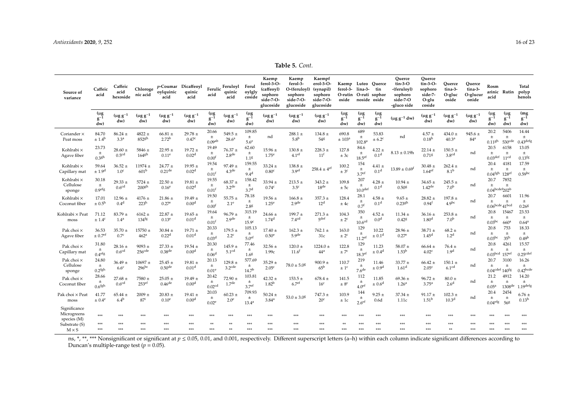# **Table 5.** *Cont.*

| Source of<br>variance             | Caffeic<br>acid                      | Caffeic<br>acid<br>hexoside      | Chloroge<br>nic acid            | p-Coumar<br>oylquinic<br>acid       | Dicaffeoyl<br>quinic<br>acid     | Ferulic<br>acid                      | Feruloyl<br>quinic<br>acid       | Ferul<br>oylgly<br>coside            | Kaemp<br>ferol-3-O-<br>(caffeoyl)<br>sophoro<br>side-7-O-<br>glucoside | Kaemp<br>ferol-3-<br>O-(feruloyl)<br>sophoro<br>side-7-O-<br>glucoside | Kaempf<br>erol-3-O-<br>(synapil)<br>sophoro<br>side-7-O-<br>glucoside | Kaemp Luteo Querce<br>ferol-3- lina-3-<br>O-rutin O-ruti sophor<br>oside | noside oside                          | tin                             | Ouerce<br>tin-3-O<br>-(feruloyl)<br>sophoro<br>side-7-O<br>-gluco side | Ouerce<br>tin-3-O-<br>sophoro<br>side-7-<br>O-glu<br>coside | Ouerce<br>tina-3-<br>O-gluc<br>oside | Ouerce<br>tina-3-<br>O-glucur<br>onide | Rosm<br>arinic Rutin<br>acid                            |                                       | Total<br>polyp<br>henols               |
|-----------------------------------|--------------------------------------|----------------------------------|---------------------------------|-------------------------------------|----------------------------------|--------------------------------------|----------------------------------|--------------------------------------|------------------------------------------------------------------------|------------------------------------------------------------------------|-----------------------------------------------------------------------|--------------------------------------------------------------------------|---------------------------------------|---------------------------------|------------------------------------------------------------------------|-------------------------------------------------------------|--------------------------------------|----------------------------------------|---------------------------------------------------------|---------------------------------------|----------------------------------------|
|                                   | (μg<br>$g^{-1}$<br>dw)               | $(\mu g g^{-1})$<br>dw)          | $(\mu g g^{-1})$<br>dw)         | $(\mu g g^{-1})$<br>dw)             | $(\mu g g^{-1})$<br>dw)          | $(\mu g)$<br>$g^{-1}$<br>dw)         | $(\mu g\;g^{-1}$<br>dw           | $(\mu g)$<br>$g^{-1}$<br>dw)         | ( $\mu$ g g <sup>-1</sup><br>dw)                                       | $(\mu g g^{-1})$<br>dw)                                                | $(\mu g g^{-1})$<br>dw)                                               | (μg<br>$\mathbf{g}^{-1}$<br>dw)                                          | $(\mu g)$<br>$g^{-1}$<br>dw)          | $(\mu g)$<br>$g^{-1}$<br>dw     | $(\mu g\;g^{-1}\;dw)$                                                  | $(\mu g g^{-1})$<br>dw)                                     | $(\mu g g^{-1})$<br>dw)              | $(\mu g g^{-1})$<br>dw)                | (μg<br>$g^{-1}$<br>dw)                                  | (μg<br>$\rm g^{-1}$<br>dw)            | (mg<br>$g^{-1}$<br>dw)                 |
| Coriander ×<br>Peat moss          | 84.70<br>± 1.4 <sup>b</sup>          | $86.24 \pm$<br>3.3 <sup>a</sup>  | $4822 \pm$<br>$852$ gh          | $66.81 \pm$<br>2.72 <sup>b</sup>    | $29.78 \pm$<br>0.47 <sup>c</sup> | 20.66<br>$\pm$<br>0.09 <sup>ab</sup> | 549.5 $\pm$<br>28.6 <sup>a</sup> | 109.85<br>$\pm$<br>5.6 <sup>e</sup>  | nd                                                                     | $288.1 \pm$<br>5.8 <sup>b</sup>                                        | $134.8 \pm$<br>548                                                    | 690.8<br>$\pm 103^{\rm a}$                                               | 689<br>$\pm$<br>102.8 <sup>a</sup>    | 53.83<br>$\pm 6.2^{\circ}$      | nd                                                                     | $4.57 \pm$<br>0.18 <sup>h</sup>                             | $434.0 \pm$<br>40.3 <sup>a</sup>     | $945.6 \pm$<br>84 <sup>a</sup>         | 20.2<br>$\pm$<br>$0.11$ gh                              | 5406<br>$\pm$<br>$530$ <sup>cde</sup> | 14.44<br>$\pm$<br>$0.43$ defg          |
| Kohlrabi ×<br>Agave fiber         | 23.73<br>$\pm$<br>0.3 <sup>gh</sup>  | $28.60 \pm$<br>0.5 <sup>cd</sup> | $5846 \pm$<br>1648 <sup>h</sup> | $22.95 \pm$<br>0.11 <sup>e</sup>    | $19.72 \pm$<br>0.02 <sup>d</sup> | 19.49<br>$\pm$<br>0.00 <sup>f</sup>  | $76.37 \pm$<br>2.8 <sup>de</sup> | 62.60<br>$\pm$<br>1.1 <sup>g</sup>   | $15.96 \pm$<br>1.75 <sup>e</sup>                                       | $130.8 \pm$<br>4.1 <sup>ef</sup>                                       | $228.3 +$<br>$11^f$                                                   | 127.8<br>±3c                                                             | 84.6<br>$\pm$<br>$18.5$ <sup>ef</sup> | $4.22 \pm$<br>0.1 <sup>d</sup>  | $8.13 \pm 0.19h$                                                       | $22.14 +$<br>0.71 <sup>g</sup>                              | $150.5 \pm$<br>3.8 <sup>cd</sup>     | nd                                     | 20.5<br>$\pm$<br>$0.03$ def                             | 6158<br>$\pm$<br>11 <sup>cd</sup>     | 13.05<br>$\pm$<br>$0.13$ <sup>fg</sup> |
| Kohlrabi ×<br>Capillary mat       | 59.64<br>± 1.9 <sup>d</sup>          | $36.52 \pm$<br>1.0 <sup>c</sup>  | $11974 \pm$<br>601 <sup>b</sup> | $24.77 \pm$<br>$0.21$ <sup>de</sup> | $19.95 \pm$<br>0.02 <sup>d</sup> | 19.54<br>$\pm$<br>0.01 <sup>f</sup>  | $97.49 \pm$<br>4.3 <sup>de</sup> | 159.55<br>$\pm$<br>9.4 <sup>d</sup>  | $33.24 \pm$<br>0.80 <sup>c</sup>                                       | $138.8 \pm$<br>3.9 <sup>ef</sup>                                       | $258.4 \pm 4$ <sup>ef</sup>                                           | 100.2<br>$\pm 3^{\circ}$                                                 | 154<br>$\pm$<br>3.7 <sup>ef</sup>     | $4.41 \pm$<br>0.1 <sup>d</sup>  | $13.89 \pm 0.69^{\circ}$                                               | $30.48 \pm$<br>$1.64$ <sup>ef</sup>                         | $262.4 \pm$<br>8.1 <sup>b</sup>      | nd                                     | 20.4<br>$\pm$<br>$0.04$ fgh                             | 4181<br>$\pm$<br>128 <sup>ef</sup>    | 17.59<br>$\pm$<br>$0.59^{bc}$          |
| Kohlrabi ×<br>Cellulose<br>sponge | 30.18<br>$\pm$<br>0.9 <sup>efg</sup> | $29.33 \pm$<br>0.6 <sup>cd</sup> | $5724$ $\pm$<br>$200$ gh        | $22.50 \pm$<br>0.16 <sup>e</sup>    | $19.81 \pm$<br>0.02 <sup>d</sup> | 19.55<br>$\pm$<br>$0.01^{\rm f}$     | $68.37 \pm$<br>3.2 <sup>de</sup> | 158.42<br>$\pm$<br>3.7 <sup>d</sup>  | $33.94 \pm$<br>0.74 <sup>c</sup>                                       | $213.5 \pm$<br>3.5 <sup>c</sup>                                        | $343.2 \pm$<br>18 <sup>de</sup>                                       | 109.8<br>± 5c                                                            | 207<br>$\pm$<br>10.0 <sup>def</sup>   | $4.28 \pm$<br>0.1 <sup>d</sup>  | $10.94 \pm$<br>0.50 <sup>g</sup>                                       | $34.65 \pm$<br>$1.42$ de                                    | $245.5 \pm$<br>7.0 <sup>b</sup>      | nd                                     | 20.7<br>$\pm$<br>0.04 <sup>bcdef</sup> 202 <sup>b</sup> | 7852<br>$\pm$                         |                                        |
| Kohlrabi ×<br>Coconut fiber       | 17.01<br>$\pm 0.5^{\rm h}$           | $12.96 \pm$<br>0.4 <sup>d</sup>  | $4176 \pm$<br>223 <sup>h</sup>  | $21.86 \pm$<br>$0.27^e$             | $19.49 \pm$<br>0.00 <sup>d</sup> | 19.50<br>$\pm$<br>0.00 <sup>f</sup>  | 55.75 $\pm$<br>2.1 <sup>e</sup>  | 78.18<br>$\pm$<br>2.88               | $19.56 \pm$<br>1.25 <sup>e</sup>                                       | $166.8 \pm$<br>2.9 <sup>de</sup>                                       | $357.3 +$<br>12 <sup>d</sup>                                          | 128.4<br>±4c                                                             | 28.1<br>$\pm$<br>0.7 <sup>f</sup>     | $4.58 \pm$<br>0.1 <sup>d</sup>  | $9.65 \pm$<br>$0.23$ gh                                                | $28.82 +$<br>0.94 <sup>f</sup>                              | $197.8 \pm$<br>4.9 <sup>bc</sup>     | nd                                     | 20.7<br>$\pm$<br>$0.06$ bcde $41$ bcd                   | 6601<br>$\pm$                         | 11.96<br>$\pm$<br>0.268                |
| Kohlrabi × Peat<br>moss           | 71.12<br>$\pm 1.4^c$                 | $83.79 \pm$<br>1.4 <sup>a</sup>  | $6162 \pm$<br>134 <sup>fg</sup> | $22.87 \pm$<br>0.13 <sup>e</sup>    | $19.65 \pm$<br>0.01 <sup>d</sup> | 19.64<br>$\pm$<br>0.01 <sup>f</sup>  | $96.79 \pm$<br>2.9 <sup>de</sup> | 315.19<br>$\pm$<br>15.9 <sup>c</sup> | $24.66 \pm$<br>1.74 <sup>d</sup>                                       | $199.7 \pm$<br>7.4 <sup>cd</sup>                                       | $271.3 +$<br>5 <sub>def</sub>                                         | 104.3<br>$\pm 2^{\rm c}$                                                 | 350<br>$\pm$<br>10.6 <sup>cd</sup>    | $4.52 \pm$<br>0.0 <sup>d</sup>  | $11.34 \pm$<br>0.428                                                   | $36.16 \pm$<br>1.80 <sup>d</sup>                            | $253.8 \pm$<br>7.0 <sup>b</sup>      | nd                                     | 20.8<br>$\pm$<br>$0.03$ bc                              | 15467<br>$\pm$<br>660 <sup>a</sup>    | 23.53<br>$\pm$<br>0.64 <sup>a</sup>    |
| Pak choi ×<br>Agave fiber         | 36.53<br>$\pm 0.7$ <sup>ef</sup>     | $35.70 \pm$<br>0.7 <sup>c</sup>  | $15750 \pm$<br>462 <sup>a</sup> | $30.84 \pm$<br>0.22 <sup>d</sup>    | $19.71 \pm$<br>0.01 <sup>d</sup> | 20.33<br>$\pm$<br>0.03 <sup>d</sup>  | $179.5 \pm$<br>$2.2^{\circ}$     | 105.13<br>$\pm$<br>5.0 <sup>ef</sup> | $17.40 \pm$<br>0.50 <sup>e</sup>                                       | $162.3 \pm$<br>5.9 <sup>de</sup>                                       | $762.1 \pm$<br>31c                                                    | 163.0<br>$\pm 2^{\rm c}$                                                 | 129<br>$\pm$<br>11.2 <sup>et</sup>    | 10.22<br>$\pm 0.1$ <sup>d</sup> | $28.96 \pm$<br>$0.27^e$                                                | $38.71 \pm$<br>1.45 <sup>d</sup>                            | $68.2 \pm$<br>1.2 <sup>d</sup>       | nd                                     | 20.8<br>$\pm$<br>$0.03$ bc                              | 753<br>$\pm$<br>35 <sup>h</sup>       | 18.33<br>$\pm$<br>0.49 <sup>b</sup>    |
| Pak choi ×<br>Capillary mat       | 31.80<br>$\pm$<br>0.4 <sup>efg</sup> | $28.16 \pm$<br>0.6 <sup>cd</sup> | $9093 \pm$<br>$256$ cde         | $27.33 \pm$<br>$0.38$ de            | $19.54 \pm$<br>0.00 <sup>d</sup> | 20.30<br>$\pm$<br>0.06 <sup>d</sup>  | $145.9 \pm$<br>5.1 <sup>cd</sup> | 77.46<br>$\pm$<br>1.6 <sub>5</sub>   | $32.56 \pm$<br>1.99c                                                   | $120.0 \pm$<br>$11.6^t$                                                | $1224.0 +$<br>44 <sup>a</sup>                                         | 122.8<br>$\pm$ 7°                                                        | 129<br>$\pm$<br>18.3 <sup>et</sup>    | 11.23<br>$\pm 0.4^d$            | 58.07 $\pm$<br>$1.53^{b}$                                              | $66.64 \pm$<br>4.02 <sup>c</sup>                            | 76.4 $\pm$<br>1.9 <sup>d</sup>       | nd                                     | 20.8<br>$\pm$<br>0.03 <sup>bcd</sup>                    | 4261<br>$\pm$<br>157 <sup>ef</sup>    | 15.57<br>$\pm$<br>$0.25$ cdef          |
| Pak choi ×<br>Cellulose<br>sponge | 24.80<br>$\pm$<br>0.2 <sup>fgh</sup> | $36.49 \pm$<br>6.6 <sup>c</sup>  | $10697 \pm$<br>$296^{bc}$       | $25.45 \pm$<br>$0.50$ <sup>de</sup> | $19.81 \pm$<br>0.01 <sup>d</sup> | 20.13<br>$\pm$<br>0.01 <sup>e</sup>  | $129.8 \pm$<br>$3.2$ cde         | 577.69<br>$\pm$<br>14.7 <sup>b</sup> | $35.29 \pm$<br>2.05 <sup>c</sup>                                       | $78.0 \pm 5.08$                                                        | $900.9 \pm$<br>$65^{\rm b}$                                           | 110.7<br>$\pm 1$ <sup>c</sup>                                            | 219<br>$\pm$<br>7.6 <sup>de</sup>     | 11.46<br>$\pm 0.9^{\rm d}$      | $33.77 \pm$<br>1.61 <sup>d</sup>                                       | $66.42 \pm$<br>2.05 <sup>c</sup>                            | $150.1 \pm$<br>6.1 <sup>cd</sup>     | nd                                     | 20.7<br>$\pm$<br>$0.04$ cdef $140$ <sup>fg</sup>        | 3100<br>$\pm$                         | 16.26<br>$\pm$<br>$0.42$ bcde          |
| Pak choi ×<br>Coconut fiber       | 28.66<br>$\pm$<br>$0.6$ fgh          | $27.68 \pm$<br>0.6 <sup>cd</sup> | $7580 \pm$<br>253 <sup>ef</sup> | $25.05 \pm$<br>$0.46$ <sup>de</sup> | $19.49 \pm$<br>0.00 <sup>d</sup> | 20.42<br>$\pm$<br>0.02 <sup>cd</sup> | 72.90 $\pm$<br>1.7 <sup>de</sup> | 103.81<br>$\pm$<br>3.7 <sup>ef</sup> | $42.32 \pm$<br>1.82 <sup>b</sup>                                       | $153.5 \pm$<br>6.7 <sup>ef</sup>                                       | $678.4 \pm$<br>16 <sup>c</sup>                                        | 141.5<br>$\pm 8^{\circ}$                                                 | 112<br>$\pm$<br>4.0 <sup>et</sup>     | 11.85<br>$\pm 0.6^{\rm d}$      | $69.36 \pm$<br>1.26 <sup>a</sup>                                       | $96.72 \pm$<br>3.75 <sup>a</sup>                            | $80.0 \pm$<br>2.6 <sup>d</sup>       | nd                                     | 21.2<br>$\pm$<br>0.05 <sup>a</sup>                      | 4912<br>$\pm$<br>$1308$ de            | 14.20<br>$\pm$<br>$1.19$ defg          |
| Pak choi × Peat<br>moss           | 41.77<br>$\pm 0.4^{\circ}$           | $65.44 \pm$<br>6.4 <sup>b</sup>  | $2009 \pm$<br>$87^{\rm i}$      | $20.83 \pm$<br>0.10 <sup>e</sup>    | $19.41 \pm$<br>0.00 <sup>d</sup> | 20.03<br>$\pm$<br>0.02 <sup>e</sup>  | $60.23 \pm$<br>2.0 <sup>e</sup>  | 709.93<br>$\pm$<br>13.4 <sup>a</sup> | $50.24 \pm$<br>3.84 <sup>a</sup>                                       | $53.0 \pm 3.08$                                                        | $747.3 \pm$<br>20 <sup>c</sup>                                        | 103.9<br>±1c                                                             | 144<br>$\pm$<br>2.6 <sup>ef</sup>     | $9.25 \pm$<br>0.6d              | $37.34 \pm$<br>1.11c                                                   | $91.17 \pm$<br>1.51 <sup>b</sup>                            | $102.3 \pm$<br>10.3 <sup>d</sup>     | nd                                     | 20.4<br>$\pm$<br>0.04 <sup>efg</sup>                    | 2454<br>$\pm$<br>56 <sup>g</sup>      | $6.76 \pm$<br>0.13 <sup>h</sup>        |
| Significance<br>Microgreens       | $3 - 3 - 3$                          | ***                              | ***                             | $3 - 3 - 3$                         | $3 - 3 - 3$                      | ***                                  | ***                              | $***$                                | ***                                                                    | $3 - 3 - 3$                                                            | ***                                                                   | $3 - 3 - 3$                                                              | ***                                   | $* * *$                         | ***                                                                    | ***                                                         | $* * *$                              | ***                                    | ***                                                     | $* * *$                               | ***                                    |
| species (M)<br>Substrate (S)      | ***                                  | ***                              | ***                             | ***                                 | ***                              | $*$                                  | **                               | $***$                                | ***                                                                    | $***$                                                                  | ***                                                                   |                                                                          | **×                                   | $* * *$                         | ***                                                                    | ***                                                         | ***                                  | ***                                    | ***                                                     | $* * * *$                             | ***                                    |
| $M \times S$                      | $***$                                | ***                              | ***                             | $***$                               | ***                              | ***                                  | **                               | ***                                  | $***$                                                                  | $***$                                                                  | ***                                                                   | ***                                                                      | ***                                   | $***$                           | ***                                                                    | ***                                                         | **                                   | ***                                    | ***                                                     | $* * *$                               | $***$                                  |

<span id="page-15-0"></span>ns, \*, \*\*, \*\*\* Nonsignificant or significant at *p* ≤ 0.05, 0.01, and 0.001, respectively. Different superscript letters (a–h) within each column indicate significant differences according to Duncan's multiple-range test ( $p = 0.05$ ).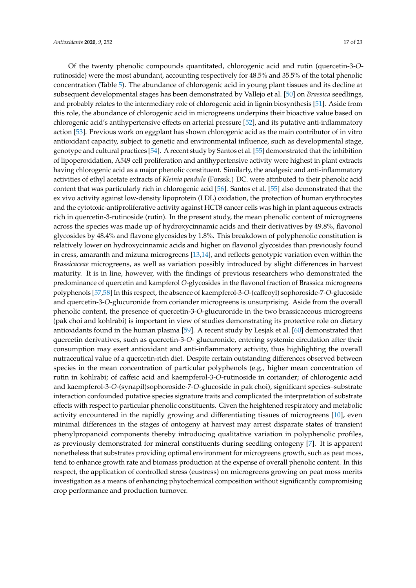Of the twenty phenolic compounds quantitated, chlorogenic acid and rutin (quercetin-3-*O*rutinoside) were the most abundant, accounting respectively for 48.5% and 35.5% of the total phenolic concentration (Table [5\)](#page-15-0). The abundance of chlorogenic acid in young plant tissues and its decline at subsequent developmental stages has been demonstrated by Vallejo et al. [\[50\]](#page-21-17) on *Brassica* seedlings, and probably relates to the intermediary role of chlorogenic acid in lignin biosynthesis [\[51\]](#page-21-18). Aside from this role, the abundance of chlorogenic acid in microgreens underpins their bioactive value based on chlorogenic acid's antihypertensive effects on arterial pressure [\[52\]](#page-21-19), and its putative anti-inflammatory action [\[53\]](#page-21-20). Previous work on eggplant has shown chlorogenic acid as the main contributor of in vitro antioxidant capacity, subject to genetic and environmental influence, such as developmental stage, genotype and cultural practices [\[54\]](#page-21-21). A recent study by Santos et al. [\[55\]](#page-21-22) demonstrated that the inhibition of lipoperoxidation, A549 cell proliferation and antihypertensive activity were highest in plant extracts having chlorogenic acid as a major phenolic constituent. Similarly, the analgesic and anti-inflammatory activities of ethyl acetate extracts of *Kleinia pendula* (Forssk.) DC. were attributed to their phenolic acid content that was particularly rich in chlorogenic acid [\[56\]](#page-22-0). Santos et al. [\[55\]](#page-21-22) also demonstrated that the ex vivo activity against low-density lipoprotein (LDL) oxidation, the protection of human erythrocytes and the cytotoxic-antiproliferative activity against HCT8 cancer cells was high in plant aqueous extracts rich in quercetin-3-rutinoside (rutin). In the present study, the mean phenolic content of microgreens across the species was made up of hydroxycinnamic acids and their derivatives by 49.8%, flavonol glycosides by 48.4% and flavone glycosides by 1.8%. This breakdown of polyphenolic constitution is relatively lower on hydroxycinnamic acids and higher on flavonol glycosides than previously found in cress, amaranth and mizuna microgreens [\[13](#page-20-8)[,14\]](#page-20-14), and reflects genotypic variation even within the *Brassicaceae* microgreens, as well as variation possibly introduced by slight differences in harvest maturity. It is in line, however, with the findings of previous researchers who demonstrated the predominance of quercetin and kampferol *O*-glycosides in the flavonol fraction of Brassica microgreens polyphenols [\[57,](#page-22-1)[58\]](#page-22-2) In this respect, the absence of kaempferol-3-*O*-(caffeoyl) sophoroside-7-*O*-glucoside and quercetin-3-*O*-glucuronide from coriander microgreens is unsurprising. Aside from the overall phenolic content, the presence of quercetin-3-*O*-glucuronide in the two brassicaceous microgreens (pak choi and kohlrabi) is important in view of studies demonstrating its protective role on dietary antioxidants found in the human plasma [\[59\]](#page-22-3). A recent study by Lesjak et al. [\[60\]](#page-22-4) demonstrated that quercetin derivatives, such as quercetin-3-*O*- glucuronide, entering systemic circulation after their consumption may exert antioxidant and anti-inflammatory activity, thus highlighting the overall nutraceutical value of a quercetin-rich diet. Despite certain outstanding differences observed between species in the mean concentration of particular polyphenols (e.g., higher mean concentration of rutin in kohlrabi; of caffeic acid and kaempferol-3-*O*-rutinoside in coriander; of chlorogenic acid and kaempferol-3-*O*-(synapil)sophoroside-7-*O*-glucoside in pak choi), significant species–substrate interaction confounded putative species signature traits and complicated the interpretation of substrate effects with respect to particular phenolic constituents. Given the heightened respiratory and metabolic activity encountered in the rapidly growing and differentiating tissues of microgreens [\[10\]](#page-19-6), even minimal differences in the stages of ontogeny at harvest may arrest disparate states of transient phenylpropanoid components thereby introducing qualitative variation in polyphenolic profiles, as previously demonstrated for mineral constituents during seedling ontogeny [\[7\]](#page-19-9). It is apparent nonetheless that substrates providing optimal environment for microgreens growth, such as peat moss, tend to enhance growth rate and biomass production at the expense of overall phenolic content. In this respect, the application of controlled stress (eustress) on microgreens growing on peat moss merits investigation as a means of enhancing phytochemical composition without significantly compromising crop performance and production turnover.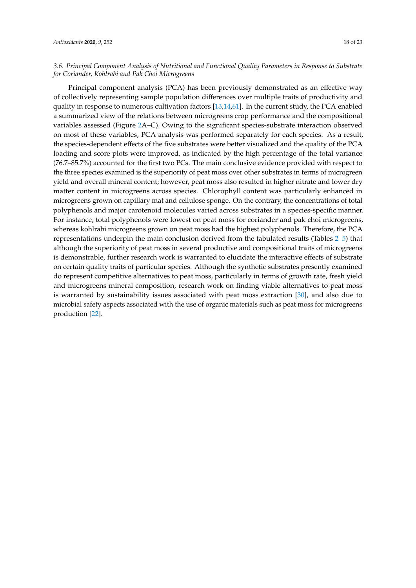Principal component analysis (PCA) has been previously demonstrated as an effective way of collectively representing sample population differences over multiple traits of productivity and quality in response to numerous cultivation factors [\[13,](#page-20-8)[14,](#page-20-14)[61\]](#page-22-5). In the current study, the PCA enabled a summarized view of the relations between microgreens crop performance and the compositional variables assessed (Figure [2A](#page-18-0)–C). Owing to the significant species-substrate interaction observed on most of these variables, PCA analysis was performed separately for each species. As a result, the species-dependent effects of the five substrates were better visualized and the quality of the PCA loading and score plots were improved, as indicated by the high percentage of the total variance (76.7–85.7%) accounted for the first two PCs. The main conclusive evidence provided with respect to the three species examined is the superiority of peat moss over other substrates in terms of microgreen yield and overall mineral content; however, peat moss also resulted in higher nitrate and lower dry matter content in microgreens across species. Chlorophyll content was particularly enhanced in microgreens grown on capillary mat and cellulose sponge. On the contrary, the concentrations of total polyphenols and major carotenoid molecules varied across substrates in a species-specific manner. For instance, total polyphenols were lowest on peat moss for coriander and pak choi microgreens, whereas kohlrabi microgreens grown on peat moss had the highest polyphenols. Therefore, the PCA representations underpin the main conclusion derived from the tabulated results (Tables [2–](#page-9-0)[5\)](#page-15-0) that although the superiority of peat moss in several productive and compositional traits of microgreens is demonstrable, further research work is warranted to elucidate the interactive effects of substrate on certain quality traits of particular species. Although the synthetic substrates presently examined do represent competitive alternatives to peat moss, particularly in terms of growth rate, fresh yield and microgreens mineral composition, research work on finding viable alternatives to peat moss is warranted by sustainability issues associated with peat moss extraction [\[30\]](#page-20-11), and also due to microbial safety aspects associated with the use of organic materials such as peat moss for microgreens production [\[22\]](#page-20-2).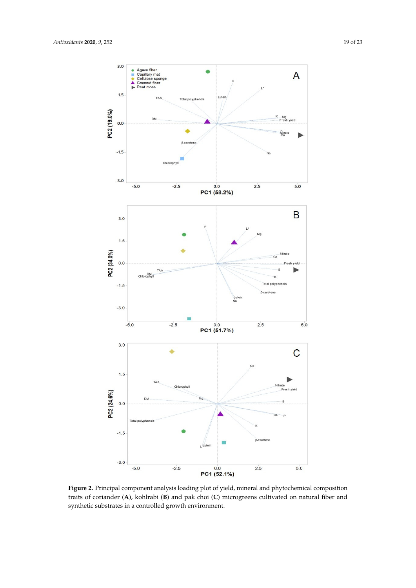<span id="page-18-0"></span>

**Figure 2.** Principal component analysis loading plot of yield, mineral and phytochemical composition **Figure 2.** Principal component analysis loading plot of yield, mineral and phytochemical composition traits of coriander  $(A)$ , kohlrabi  $(B)$  and pak choi  $(C)$  microgreens cultivated on natural fiber and synthetic substrates in a controlled growth environment. synthetic substrates in a controlled growth environment.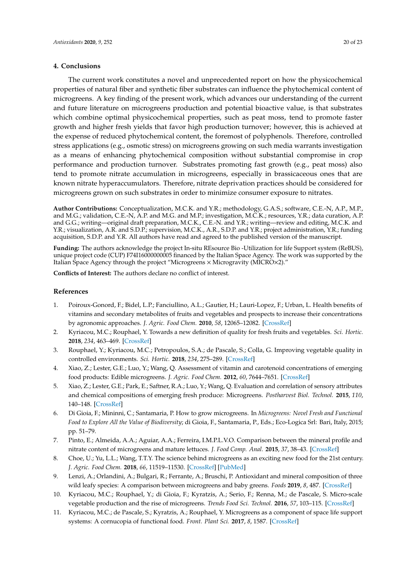## **4. Conclusions**

The current work constitutes a novel and unprecedented report on how the physicochemical properties of natural fiber and synthetic fiber substrates can influence the phytochemical content of microgreens. A key finding of the present work, which advances our understanding of the current and future literature on microgreens production and potential bioactive value, is that substrates which combine optimal physicochemical properties, such as peat moss, tend to promote faster growth and higher fresh yields that favor high production turnover; however, this is achieved at the expense of reduced phytochemical content, the foremost of polyphenols. Therefore, controlled stress applications (e.g., osmotic stress) on microgreens growing on such media warrants investigation as a means of enhancing phytochemical composition without substantial compromise in crop performance and production turnover. Substrates promoting fast growth (e.g., peat moss) also tend to promote nitrate accumulation in microgreens, especially in brassicaceous ones that are known nitrate hyperaccumulators. Therefore, nitrate deprivation practices should be considered for microgreens grown on such substrates in order to minimize consumer exposure to nitrates.

**Author Contributions:** Conceptualization, M.C.K. and Y.R.; methodology, G.A.S.; software, C.E.-N, A.P., M.P., and M.G.; validation, C.E.-N, A.P. and M.G. and M.P.; investigation, M.C.K.; resources, Y.R.; data curation, A.P. and G.G.; writing—original draft preparation, M.C.K., C.E.-N. and Y.R.; writing—review and editing, M.C.K. and Y.R.; visualization, A.R. and S.D.P.; supervision, M.C.K., A.R., S.D.P. and Y.R.; project administration, Y.R.; funding acquisition, S.D.P. and Y.R. All authors have read and agreed to the published version of the manuscript.

**Funding:** The authors acknowledge the project In-situ REsource Bio -Utilization for life Support system (ReBUS), unique project code (CUP) F74I16000000005 financed by the Italian Space Agency. The work was supported by the Italian Space Agency through the project "Microgreens × Microgravity (MICRO×2)."

**Conflicts of Interest:** The authors declare no conflict of interest.

## **References**

- <span id="page-19-0"></span>1. Poiroux-Gonord, F.; Bidel, L.P.; Fanciullino, A.L.; Gautier, H.; Lauri-Lopez, F.; Urban, L. Health benefits of vitamins and secondary metabolites of fruits and vegetables and prospects to increase their concentrations by agronomic approaches. *J. Agric. Food Chem.* **2010**, *58*, 12065–12082. [\[CrossRef\]](http://dx.doi.org/10.1021/jf1037745)
- <span id="page-19-1"></span>2. Kyriacou, M.C.; Rouphael, Y. Towards a new definition of quality for fresh fruits and vegetables. *Sci. Hortic.* **2018**, *234*, 463–469. [\[CrossRef\]](http://dx.doi.org/10.1016/j.scienta.2017.09.046)
- <span id="page-19-2"></span>3. Rouphael, Y.; Kyriacou, M.C.; Petropoulos, S.A.; de Pascale, S.; Colla, G. Improving vegetable quality in controlled environments. *Sci. Hortic.* **2018**, *234*, 275–289. [\[CrossRef\]](http://dx.doi.org/10.1016/j.scienta.2018.02.033)
- <span id="page-19-3"></span>4. Xiao, Z.; Lester, G.E.; Luo, Y.; Wang, Q. Assessment of vitamin and carotenoid concentrations of emerging food products: Edible microgreens. *J. Agric. Food Chem.* **2012**, *60*, 7644–7651. [\[CrossRef\]](http://dx.doi.org/10.1021/jf300459b)
- <span id="page-19-8"></span>5. Xiao, Z.; Lester, G.E.; Park, E.; Saftner, R.A.; Luo, Y.; Wang, Q. Evaluation and correlation of sensory attributes and chemical compositions of emerging fresh produce: Microgreens. *Postharvest Biol. Technol.* **2015**, *110*, 140–148. [\[CrossRef\]](http://dx.doi.org/10.1016/j.postharvbio.2015.07.021)
- 6. Di Gioia, F.; Mininni, C.; Santamaria, P. How to grow microgreens. In *Microgreens: Novel Fresh and Functional Food to Explore All the Value of Biodiversity*; di Gioia, F., Santamaria, P., Eds.; Eco-Logica Srl: Bari, Italy, 2015; pp. 51–79.
- <span id="page-19-9"></span>7. Pinto, E.; Almeida, A.A.; Aguiar, A.A.; Ferreira, I.M.P.L.V.O. Comparison between the mineral profile and nitrate content of microgreens and mature lettuces. *J. Food Comp. Anal.* **2015**, *37*, 38–43. [\[CrossRef\]](http://dx.doi.org/10.1016/j.jfca.2014.06.018)
- <span id="page-19-5"></span>8. Choe, U.; Yu, L.L.; Wang, T.T.Y. The science behind microgreens as an exciting new food for the 21st century. *J. Agric. Food Chem.* **2018**, *66*, 11519–11530. [\[CrossRef\]](http://dx.doi.org/10.1021/acs.jafc.8b03096) [\[PubMed\]](http://www.ncbi.nlm.nih.gov/pubmed/30343573)
- <span id="page-19-4"></span>9. Lenzi, A.; Orlandini, A.; Bulgari, R.; Ferrante, A.; Bruschi, P. Antioxidant and mineral composition of three wild leafy species: A comparison between microgreens and baby greens. *Foods* **2019**, *8*, 487. [\[CrossRef\]](http://dx.doi.org/10.3390/foods8100487)
- <span id="page-19-6"></span>10. Kyriacou, M.C.; Rouphael, Y.; di Gioia, F.; Kyratzis, A.; Serio, F.; Renna, M.; de Pascale, S. Micro-scale vegetable production and the rise of microgreens. *Trends Food Sci. Technol.* **2016**, *57*, 103–115. [\[CrossRef\]](http://dx.doi.org/10.1016/j.tifs.2016.09.005)
- <span id="page-19-7"></span>11. Kyriacou, M.C.; de Pascale, S.; Kyratzis, A.; Rouphael, Y. Microgreens as a component of space life support systems: A cornucopia of functional food. *Front. Plant Sci.* **2017**, *8*, 1587. [\[CrossRef\]](http://dx.doi.org/10.3389/fpls.2017.01587)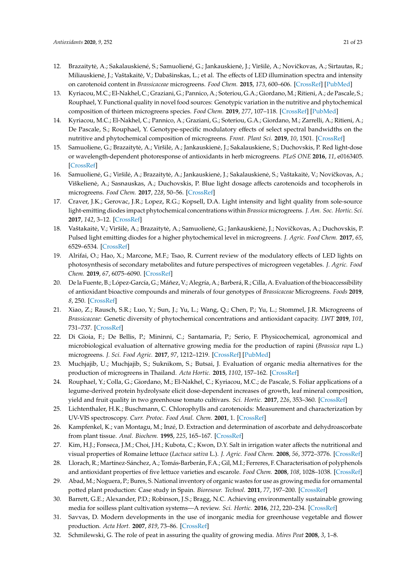- <span id="page-20-0"></span>12. Brazaitytė, A.; Sakalauskiené, S.; Samuoliené, G.; Jankauskienė, J.; Viršilė, A.; Novičkovas, A.; Sirtautas, R.; Miliauskienė, J.; Vaštakaitė, V.; Dabašinskas, L.; et al. The effects of LED illumination spectra and intensity on carotenoid content in *Brassicaceae* microgreens. *Food Chem.* **2015**, *173*, 600–606. [\[CrossRef\]](http://dx.doi.org/10.1016/j.foodchem.2014.10.077) [\[PubMed\]](http://www.ncbi.nlm.nih.gov/pubmed/25466065)
- <span id="page-20-8"></span>13. Kyriacou,M.C.; El-Nakhel, C.; Graziani, G.; Pannico, A.; Soteriou, G.A.; Giordano,M.; Ritieni, A.; de Pascale, S.; Rouphael, Y. Functional quality in novel food sources: Genotypic variation in the nutritive and phytochemical composition of thirteen microgreens species. *Food Chem.* **2019**, *277*, 107–118. [\[CrossRef\]](http://dx.doi.org/10.1016/j.foodchem.2018.10.098) [\[PubMed\]](http://www.ncbi.nlm.nih.gov/pubmed/30502125)
- <span id="page-20-14"></span>14. Kyriacou, M.C.; El-Nakhel, C.; Pannico, A.; Graziani, G.; Soteriou, G.A.; Giordano, M.; Zarrelli, A.; Ritieni, A.; De Pascale, S.; Rouphael, Y. Genotype-specific modulatory effects of select spectral bandwidths on the nutritive and phytochemical composition of microgreens. *Front. Plant Sci.* **2019**, *10*, 1501. [\[CrossRef\]](http://dx.doi.org/10.3389/fpls.2019.01501)
- 15. Samuoliene, G.; Brazaitytė, A.; Viršilė, A.; Jankauskienė, J.; Sakalauskiene, S.; Duchovskis, P. Red light-dose or wavelength-dependent photoresponse of antioxidants in herb microgreens. *PLoS ONE* **2016**, *11*, e0163405. [\[CrossRef\]](http://dx.doi.org/10.1371/journal.pone.0163405)
- <span id="page-20-15"></span>16. Samuolienė, G.; Viršilė, A.; Brazaitytė, A.; Jankauskienė, J.; Sakalauskienė, S.; Vaštakaitė, V.; Novičkovas, A.; Viškelienė, A.; Sasnauskas, A.; Duchovskis, P. Blue light dosage affects carotenoids and tocopherols in microgreens. *Food Chem.* **2017**, *228*, 50–56. [\[CrossRef\]](http://dx.doi.org/10.1016/j.foodchem.2017.01.144)
- 17. Craver, J.K.; Gerovac, J.R.; Lopez, R.G.; Kopsell, D.A. Light intensity and light quality from sole-source light-emitting diodes impact phytochemical concentrations within *Brassica* microgreens. *J. Am. Soc. Hortic. Sci.* **2017**, *142*, 3–12. [\[CrossRef\]](http://dx.doi.org/10.21273/JASHS03830-16)
- 18. Vaštakaitė, V.; Viršilė, A.; Brazaitytė, A.; Samuolienė, G.; Jankauskienė, J.; Novičkovas, A.; Duchovskis, P. Pulsed light emitting diodes for a higher phytochemical level in microgreens. *J. Agric. Food Chem.* **2017**, *65*, 6529–6534. [\[CrossRef\]](http://dx.doi.org/10.1021/acs.jafc.7b01214)
- 19. Alrifai, O.; Hao, X.; Marcone, M.F.; Tsao, R. Current review of the modulatory effects of LED lights on photosynthesis of secondary metabolites and future perspectives of microgreen vegetables. *J. Agric. Food Chem.* **2019**, *67*, 6075–6090. [\[CrossRef\]](http://dx.doi.org/10.1021/acs.jafc.9b00819)
- 20. De la Fuente, B.; López-García, G.; Máñez, V.; Alegría, A.; Barberá, R.; Cilla, A. Evaluation of the bioaccessibility of antioxidant bioactive compounds and minerals of four genotypes of *Brassicaceae* Microgreens. *Foods* **2019**, *8*, 250. [\[CrossRef\]](http://dx.doi.org/10.3390/foods8070250)
- <span id="page-20-1"></span>21. Xiao, Z.; Rausch, S.R.; Luo, Y.; Sun, J.; Yu, L.; Wang, Q.; Chen, P.; Yu, L.; Stommel, J.R. Microgreens of *Brassicaceae*: Genetic diversity of phytochemical concentrations and antioxidant capacity. *LWT* **2019**, *101*, 731–737. [\[CrossRef\]](http://dx.doi.org/10.1016/j.lwt.2018.10.076)
- <span id="page-20-2"></span>22. Di Gioia, F.; De Bellis, P.; Mininni, C.; Santamaria, P.; Serio, F. Physicochemical, agronomical and microbiological evaluation of alternative growing media for the production of rapini (*Brassica rapa* L.) microgreens. *J. Sci. Food Agric.* **2017**, *97*, 1212–1219. [\[CrossRef\]](http://dx.doi.org/10.1002/jsfa.7852) [\[PubMed\]](http://www.ncbi.nlm.nih.gov/pubmed/27311947)
- <span id="page-20-3"></span>23. Muchjajib, U.; Muchjajib, S.; Suknikom, S.; Butsai, J. Evaluation of organic media alternatives for the production of microgreens in Thailand. *Acta Hortic.* **2015**, *1102*, 157–162. [\[CrossRef\]](http://dx.doi.org/10.17660/ActaHortic.2015.1102.19)
- <span id="page-20-4"></span>24. Rouphael, Y.; Colla, G.; Giordano, M.; El-Nakhel, C.; Kyriacou, M.C.; de Pascale, S. Foliar applications of a legume-derived protein hydrolysate elicit dose-dependent increases of growth, leaf mineral composition, yield and fruit quality in two greenhouse tomato cultivars. *Sci. Hortic.* **2017**, *226*, 353–360. [\[CrossRef\]](http://dx.doi.org/10.1016/j.scienta.2017.09.007)
- <span id="page-20-5"></span>25. Lichtenthaler, H.K.; Buschmann, C. Chlorophylls and carotenoids: Measurement and characterization by UV-VIS spectroscopy. *Curr. Protoc. Food Anal. Chem.* **2001**, 1. [\[CrossRef\]](http://dx.doi.org/10.1002/0471142913.faf0403s01)
- <span id="page-20-6"></span>26. Kampfenkel, K.; van Montagu, M.; Inzé, D. Extraction and determination of ascorbate and dehydroascorbate from plant tissue. *Anal. Biochem.* **1995**, *225*, 165–167. [\[CrossRef\]](http://dx.doi.org/10.1006/abio.1995.1127)
- <span id="page-20-7"></span>27. Kim, H.J.; Fonseca, J.M.; Choi, J.H.; Kubota, C.; Kwon, D.Y. Salt in irrigation water affects the nutritional and visual properties of Romaine lettuce (*Lactuca sativa* L.). *J. Agric. Food Chem.* **2008**, *56*, 3772–3776. [\[CrossRef\]](http://dx.doi.org/10.1021/jf0733719)
- <span id="page-20-9"></span>28. Llorach, R.; Martínez-Sánchez, A.; Tomás-Barberán, F.A.; Gil, M.I.; Ferreres, F. Characterisation of polyphenols and antioxidant properties of five lettuce varieties and escarole. *Food Chem.* **2008**, *108*, 1028–1038. [\[CrossRef\]](http://dx.doi.org/10.1016/j.foodchem.2007.11.032)
- <span id="page-20-10"></span>29. Abad, M.; Noguera, P.; Bures, S. National inventory of organic wastes for use as growing media for ornamental potted plant production: Case study in Spain. *Bioresour. Technol.* **2011**, *77*, 197–200. [\[CrossRef\]](http://dx.doi.org/10.1016/S0960-8524(00)00152-8)
- <span id="page-20-11"></span>30. Barrett, G.E.; Alexander, P.D.; Robinson, J.S.; Bragg, N.C. Achieving environmentally sustainable growing media for soilless plant cultivation systems—A review. *Sci. Hortic.* **2016**, *212*, 220–234. [\[CrossRef\]](http://dx.doi.org/10.1016/j.scienta.2016.09.030)
- <span id="page-20-12"></span>31. Savvas, D. Modern developments in the use of inorganic media for greenhouse vegetable and flower production. *Acta Hort.* **2007**, *819*, 73–86. [\[CrossRef\]](http://dx.doi.org/10.17660/ActaHortic.2009.819.7)
- <span id="page-20-13"></span>32. Schmilewski, G. The role of peat in assuring the quality of growing media. *Mires Peat* **2008**, *3*, 1–8.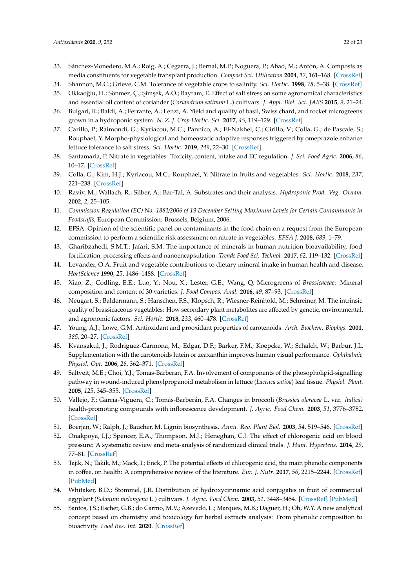- <span id="page-21-0"></span>33. Sánchez-Monedero, M.A.; Roig, A.; Cegarra, J.; Bernal, M.P.; Noguera, P.; Abad, M.; Antón, A. Composts as media constituents for vegetable transplant production. *Compost Sci. Utilization* **2004**, *12*, 161–168. [\[CrossRef\]](http://dx.doi.org/10.1080/1065657X.2004.10702175)
- <span id="page-21-1"></span>34. Shannon, M.C.; Grieve, C.M. Tolerance of vegetable crops to salinity. *Sci. Hortic.* **1998**, *78*, 5–38. [\[CrossRef\]](http://dx.doi.org/10.1016/S0304-4238(98)00189-7)
- <span id="page-21-2"></span>35. Okkaoğlu, H.; Sönmez, Ç.; Şimşek, A.O.; Bayram, E. Effect of salt stress on some agronomical characteristics and essential oil content of coriander (*Coriandrum sativum* L.) cultivars. *J. Appl. Biol. Sci. JABS* **2015**, *9*, 21–24.
- <span id="page-21-3"></span>36. Bulgari, R.; Baldi, A.; Ferrante, A.; Lenzi, A. Yield and quality of basil, Swiss chard, and rocket microgreens grown in a hydroponic system. *N. Z. J. Crop Hortic. Sci.* **2017**, *45*, 119–129. [\[CrossRef\]](http://dx.doi.org/10.1080/01140671.2016.1259642)
- <span id="page-21-4"></span>37. Carillo, P.; Raimondi, G.; Kyriacou, M.C.; Pannico, A.; El-Nakhel, C.; Cirillo, V.; Colla, G.; de Pascale, S.; Rouphael, Y. Morpho-physiological and homeostatic adaptive responses triggered by omeprazole enhance lettuce tolerance to salt stress. *Sci. Hortic.* **2019**, *249*, 22–30. [\[CrossRef\]](http://dx.doi.org/10.1016/j.scienta.2019.01.038)
- <span id="page-21-5"></span>38. Santamaria, P. Nitrate in vegetables: Toxicity, content, intake and EC regulation. *J. Sci. Food Agric.* **2006**, *86*, 10–17. [\[CrossRef\]](http://dx.doi.org/10.1002/jsfa.2351)
- <span id="page-21-6"></span>39. Colla, G.; Kim, H.J.; Kyriacou, M.C.; Rouphael, Y. Nitrate in fruits and vegetables. *Sci. Hortic.* **2018**, *237*, 221–238. [\[CrossRef\]](http://dx.doi.org/10.1016/j.scienta.2018.04.016)
- <span id="page-21-7"></span>40. Raviv, M.; Wallach, R.; Silber, A.; Bar-Tal, A. Substrates and their analysis. *Hydroponic Prod. Veg. Ornam.* **2002**, *2*, 25–105.
- <span id="page-21-8"></span>41. *Commission Regulation (EC) No. 1881*/*2006 of 19 December Setting Maximum Levels for Certain Contaminants in Foodstu*ff*s*; European Commission: Brussels, Belgium, 2006.
- <span id="page-21-9"></span>42. EFSA. Opinion of the scientific panel on contaminants in the food chain on a request from the European commission to perform a scientific risk assessment on nitrate in vegetables. *EFSA J.* **2008**, *689*, 1–79.
- <span id="page-21-10"></span>43. Gharibzahedi, S.M.T.; Jafari, S.M. The importance of minerals in human nutrition bioavailability, food fortification, processing effects and nanoencapsulation. *Trends Food Sci. Technol.* **2017**, *62*, 119–132. [\[CrossRef\]](http://dx.doi.org/10.1016/j.tifs.2017.02.017)
- <span id="page-21-11"></span>44. Levander, O.A. Fruit and vegetable contributions to dietary mineral intake in human health and disease. *HortScience* **1990**, *25*, 1486–1488. [\[CrossRef\]](http://dx.doi.org/10.21273/HORTSCI.25.12.1486)
- <span id="page-21-12"></span>45. Xiao, Z.; Codling, E.E.; Luo, Y.; Nou, X.; Lester, G.E.; Wang, Q. Microgreens of *Brassicaceae*: Mineral composition and content of 30 varieties. *J. Food Compos. Anal.* **2016**, *49*, 87–93. [\[CrossRef\]](http://dx.doi.org/10.1016/j.jfca.2016.04.006)
- <span id="page-21-13"></span>46. Neugart, S.; Baldermann, S.; Hanschen, F.S.; Klopsch, R.; Wiesner-Reinhold, M.; Schreiner, M. The intrinsic quality of brassicaceous vegetables: How secondary plant metabolites are affected by genetic, environmental, and agronomic factors. *Sci. Hortic.* **2018**, *233*, 460–478. [\[CrossRef\]](http://dx.doi.org/10.1016/j.scienta.2017.12.038)
- <span id="page-21-14"></span>47. Young, A.J.; Lowe, G.M. Antioxidant and prooxidant properties of carotenoids. *Arch. Biochem. Biophys.* **2001**, *385*, 20–27. [\[CrossRef\]](http://dx.doi.org/10.1006/abbi.2000.2149)
- <span id="page-21-15"></span>48. Kvansakul, J.; Rodriguez-Carmona, M.; Edgar, D.F.; Barker, F.M.; Koepcke, W.; Schalch, W.; Barbur, J.L. Supplementation with the carotenoids lutein or zeaxanthin improves human visual performance. *Ophthalmic Physiol. Opt.* **2006**, *26*, 362–371. [\[CrossRef\]](http://dx.doi.org/10.1111/j.1475-1313.2006.00387.x)
- <span id="page-21-16"></span>49. Saltveit, M.E.; Choi, Y.J.; Tomas-Barberan, F.A. Involvement of components of the phosopholipid-signalling pathway in wound-induced phenylpropanoid metabolism in lettuce (*Lactuca sativa*) leaf tissue. *Physiol. Plant.* **2005**, *125*, 345–355. [\[CrossRef\]](http://dx.doi.org/10.1111/j.1399-3054.2005.00574.x)
- <span id="page-21-17"></span>50. Vallejo, F.; García-Viguera, C.; Tomás-Barberán, F.A. Changes in broccoli (*Brassica oleracea* L. var. *italica)* health-promoting compounds with inflorescence development. *J. Agric. Food Chem.* **2003**, *51*, 3776–3782. [\[CrossRef\]](http://dx.doi.org/10.1021/jf0212338)
- <span id="page-21-18"></span>51. Boerjan, W.; Ralph, J.; Baucher, M. Lignin biosynthesis. *Annu. Rev. Plant Biol.* **2003**, *54*, 519–546. [\[CrossRef\]](http://dx.doi.org/10.1146/annurev.arplant.54.031902.134938)
- <span id="page-21-19"></span>52. Onakpoya, I.J.; Spencer, E.A.; Thompson, M.J.; Heneghan, C.J. The effect of chlorogenic acid on blood pressure: A systematic review and meta-analysis of randomized clinical trials. *J. Hum. Hypertens.* **2014**, *29*, 77–81. [\[CrossRef\]](http://dx.doi.org/10.1038/jhh.2014.46)
- <span id="page-21-20"></span>53. Tajik, N.; Takik, M.; Mack, I.; Enck, P. The potential effects of chlorogenic acid, the main phenolic components in coffee, on health: A comprehensive review of the literature. *Eur. J. Nutr.* **2017**, *56*, 2215–2244. [\[CrossRef\]](http://dx.doi.org/10.1007/s00394-017-1379-1) [\[PubMed\]](http://www.ncbi.nlm.nih.gov/pubmed/28391515)
- <span id="page-21-21"></span>54. Whitaker, B.D.; Stommel, J.R. Distribution of hydroxycinnamic acid conjugates in fruit of commercial eggplant (*Solanum melongena* L.) cultivars. *J. Agric. Food Chem.* **2003**, *51*, 3448–3454. [\[CrossRef\]](http://dx.doi.org/10.1021/jf026250b) [\[PubMed\]](http://www.ncbi.nlm.nih.gov/pubmed/12744682)
- <span id="page-21-22"></span>55. Santos, J.S.; Escher, G.B.; do Carmo, M.V.; Azevedo, L.; Marques, M.B.; Daguer, H.; Oh, W.Y. A new analytical concept based on chemistry and toxicology for herbal extracts analysis: From phenolic composition to bioactivity. *Food Res. Int.* **2020**. [\[CrossRef\]](http://dx.doi.org/10.1016/j.foodres.2020.109090)